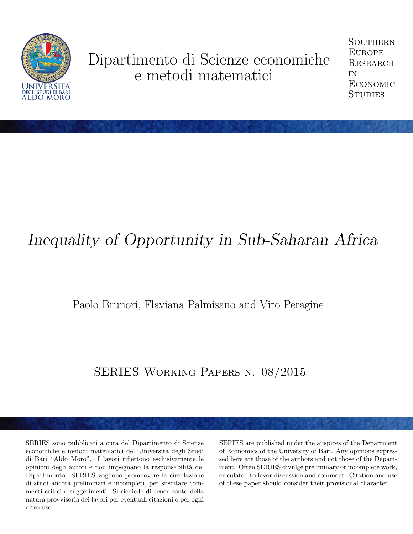

# Dipartimento di Scienze economiche e metodi matematici

# *Inequality of Opportunity in Sub-Saharan Africa*

Paolo Brunori, Flaviana Palmisano and Vito Peragine

## SERIES Working Papers n. 08/2015

SERIES sono pubblicati a cura del Dipartimento di Scienze economiche e metodi matematici dell'Università degli Studi di Bari "Aldo Moro". I lavori riflettono esclusivamente le opinioni degli autori e non impegnano la responsabilit`a del Dipartimento. SERIES vogliono promuovere la circolazione di studi ancora preliminari e incompleti, per suscitare commenti critici e suggerimenti. Si richiede di tener conto della natura provvisoria dei lavori per eventuali citazioni o per ogni altro uso.

SERIES are published under the auspices of the Department of Economics of the University of Bari. Any opinions expressed here are those of the authors and not those of the Department. Often SERIES divulge preliminary or incomplete work, circulated to favor discussion and comment. Citation and use of these paper should consider their provisional character.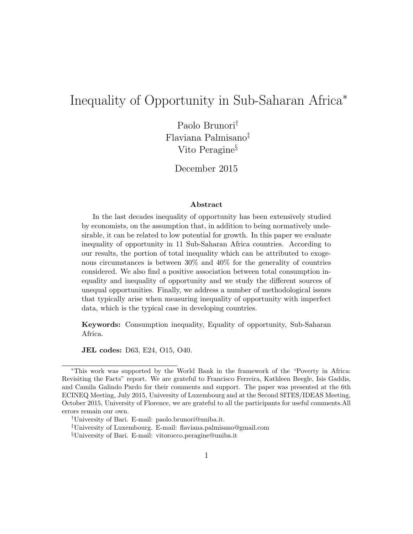## <span id="page-1-0"></span>Inequality of Opportunity in Sub-Saharan Africa<sup>\*</sup>

Paolo Brunori*†* Flaviana Palmisano*‡* Vito Peragine*§*

December 2015

#### Abstract

In the last decades inequality of opportunity has been extensively studied by economists, on the assumption that, in addition to being normatively undesirable, it can be related to low potential for growth. In this paper we evaluate inequality of opportunity in 11 Sub-Saharan Africa countries. According to our results, the portion of total inequality which can be attributed to exogenous circumstances is between 30% and 40% for the generality of countries considered. We also find a positive association between total consumption inequality and inequality of opportunity and we study the different sources of unequal opportunities. Finally, we address a number of methodological issues that typically arise when measuring inequality of opportunity with imperfect data, which is the typical case in developing countries.

Keywords: Consumption inequality, Equality of opportunity, Sub-Saharan Africa.

JEL codes: D63, E24, O15, O40.

<sup>⇤</sup>This work was supported by the World Bank in the framework of the "Poverty in Africa: Revisiting the Facts" report. We are grateful to Francisco Ferreira, Kathleen Beegle, Isis Gaddis, and Camila Galindo Pardo for their comments and support. The paper was presented at the 6th ECINEQ Meeting, July 2015, University of Luxembourg and at the Second SITES/IDEAS Meeting, October 2015, University of Florence, we are grateful to all the participants for useful comments.All errors remain our own.

*<sup>†</sup>*University of Bari. E-mail: paolo.brunori@uniba.it.

*<sup>‡</sup>*University of Luxembourg. E-mail: flaviana.palmisano@gmail.com

*<sup>§</sup>*University of Bari. E-mail: vitorocco.peragine@uniba.it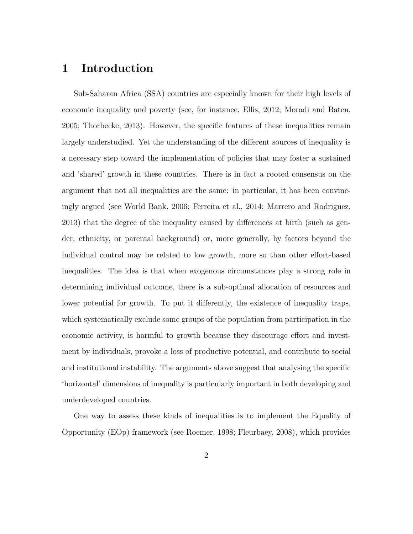### 1 Introduction

Sub-Saharan Africa (SSA) countries are especially known for their high levels of economic inequality and poverty (see, for instance, Ellis, 2012; Moradi and Baten, 2005; Thorbecke, 2013). However, the specific features of these inequalities remain largely understudied. Yet the understanding of the different sources of inequality is a necessary step toward the implementation of policies that may foster a sustained and 'shared' growth in these countries. There is in fact a rooted consensus on the argument that not all inequalities are the same: in particular, it has been convincingly argued (see World Bank, 2006; Ferreira et al., 2014; Marrero and Rodriguez,  $2013$ ) that the degree of the inequality caused by differences at birth (such as gender, ethnicity, or parental background) or, more generally, by factors beyond the individual control may be related to low growth, more so than other effort-based inequalities. The idea is that when exogenous circumstances play a strong role in determining individual outcome, there is a sub-optimal allocation of resources and lower potential for growth. To put it differently, the existence of inequality traps, which systematically exclude some groups of the population from participation in the economic activity, is harmful to growth because they discourage effort and investment by individuals, provoke a loss of productive potential, and contribute to social and institutional instability. The arguments above suggest that analysing the specific 'horizontal' dimensions of inequality is particularly important in both developing and underdeveloped countries.

One way to assess these kinds of inequalities is to implement the Equality of Opportunity (EOp) framework (see Roemer, 1998; Fleurbaey, 2008), which provides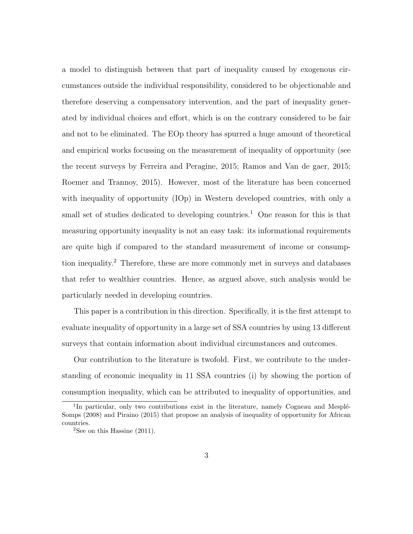a model to distinguish between that part of inequality caused by exogenous circumstances outside the individual responsibility, considered to be objectionable and therefore deserving a compensatory intervention, and the part of inequality generated by individual choices and effort, which is on the contrary considered to be fair and not to be eliminated. The EOp theory has spurred a huge amount of theoretical and empirical works focussing on the measurement of inequality of opportunity (see the recent surveys by Ferreira and Peragine, 2015; Ramos and Van de gaer, 2015; Roemer and Trannoy, 2015). However, most of the literature has been concerned with inequality of opportunity (IOp) in Western developed countries, with only a small set of studies dedicated to developing countries.<sup>[1](#page-1-0)</sup> One reason for this is that measuring opportunity inequality is not an easy task: its informational requirements are quite high if compared to the standard measurement of income or consumption inequality.[2](#page-1-0) Therefore, these are more commonly met in surveys and databases that refer to wealthier countries. Hence, as argued above, such analysis would be particularly needed in developing countries.

This paper is a contribution in this direction. Specifically, it is the first attempt to evaluate inequality of opportunity in a large set of SSA countries by using 13 different surveys that contain information about individual circumstances and outcomes.

Our contribution to the literature is twofold. First, we contribute to the understanding of economic inequality in 11 SSA countries (i) by showing the portion of consumption inequality, which can be attributed to inequality of opportunities, and

<sup>&</sup>lt;sup>1</sup>In particular, only two contributions exist in the literature, namely Cogneau and Mesplé-Somps (2008) and Piraino (2015) that propose an analysis of inequality of opportunity for African countries.

<sup>&</sup>lt;sup>2</sup>See on this Hassine  $(2011)$ .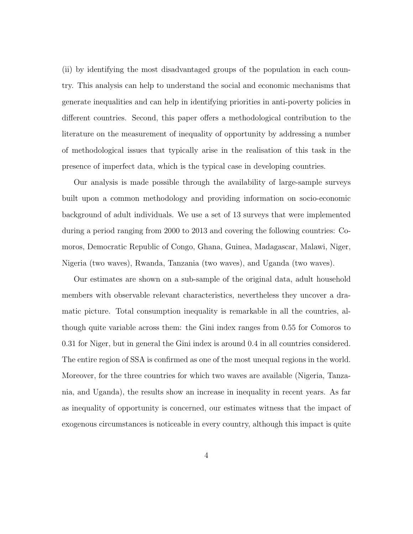(ii) by identifying the most disadvantaged groups of the population in each country. This analysis can help to understand the social and economic mechanisms that generate inequalities and can help in identifying priorities in anti-poverty policies in different countries. Second, this paper offers a methodological contribution to the literature on the measurement of inequality of opportunity by addressing a number of methodological issues that typically arise in the realisation of this task in the presence of imperfect data, which is the typical case in developing countries.

Our analysis is made possible through the availability of large-sample surveys built upon a common methodology and providing information on socio-economic background of adult individuals. We use a set of 13 surveys that were implemented during a period ranging from 2000 to 2013 and covering the following countries: Comoros, Democratic Republic of Congo, Ghana, Guinea, Madagascar, Malawi, Niger, Nigeria (two waves), Rwanda, Tanzania (two waves), and Uganda (two waves).

Our estimates are shown on a sub-sample of the original data, adult household members with observable relevant characteristics, nevertheless they uncover a dramatic picture. Total consumption inequality is remarkable in all the countries, although quite variable across them: the Gini index ranges from 0.55 for Comoros to 0.31 for Niger, but in general the Gini index is around 0.4 in all countries considered. The entire region of SSA is confirmed as one of the most unequal regions in the world. Moreover, for the three countries for which two waves are available (Nigeria, Tanzania, and Uganda), the results show an increase in inequality in recent years. As far as inequality of opportunity is concerned, our estimates witness that the impact of exogenous circumstances is noticeable in every country, although this impact is quite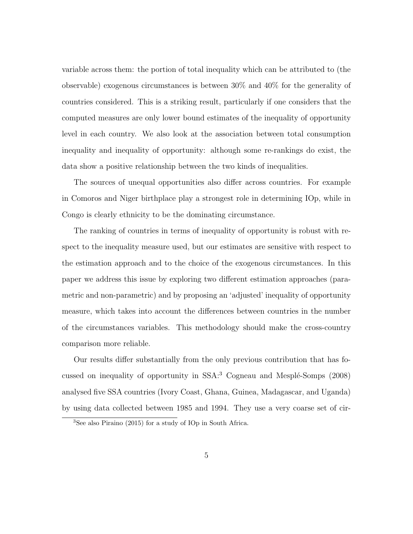variable across them: the portion of total inequality which can be attributed to (the observable) exogenous circumstances is between 30% and 40% for the generality of countries considered. This is a striking result, particularly if one considers that the computed measures are only lower bound estimates of the inequality of opportunity level in each country. We also look at the association between total consumption inequality and inequality of opportunity: although some re-rankings do exist, the data show a positive relationship between the two kinds of inequalities.

The sources of unequal opportunities also differ across countries. For example in Comoros and Niger birthplace play a strongest role in determining IOp, while in Congo is clearly ethnicity to be the dominating circumstance.

The ranking of countries in terms of inequality of opportunity is robust with respect to the inequality measure used, but our estimates are sensitive with respect to the estimation approach and to the choice of the exogenous circumstances. In this paper we address this issue by exploring two different estimation approaches (parametric and non-parametric) and by proposing an 'adjusted' inequality of opportunity measure, which takes into account the differences between countries in the number of the circumstances variables. This methodology should make the cross-country comparison more reliable.

Our results differ substantially from the only previous contribution that has focussed on inequality of opportunity in  $SSA$ <sup>[3](#page-1-0)</sup> Cogneau and Mesplé-Somps (2008) analysed five SSA countries (Ivory Coast, Ghana, Guinea, Madagascar, and Uganda) by using data collected between 1985 and 1994. They use a very coarse set of cir-

<sup>3</sup>See also Piraino (2015) for a study of IOp in South Africa.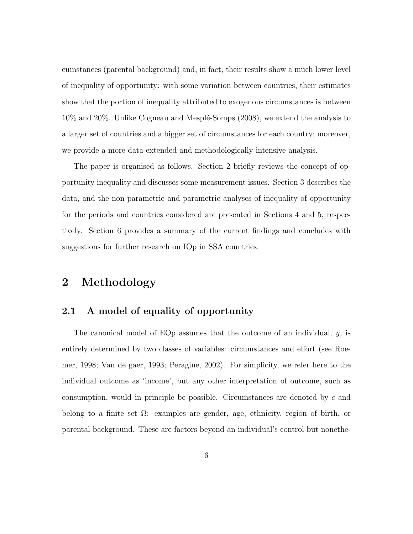cumstances (parental background) and, in fact, their results show a much lower level of inequality of opportunity: with some variation between countries, their estimates show that the portion of inequality attributed to exogenous circumstances is between  $10\%$  and  $20\%$ . Unlike Cogneau and Mesplé-Somps (2008), we extend the analysis to a larger set of countries and a bigger set of circumstances for each country; moreover, we provide a more data-extended and methodologically intensive analysis.

The paper is organised as follows. Section 2 briefly reviews the concept of opportunity inequality and discusses some measurement issues. Section 3 describes the data, and the non-parametric and parametric analyses of inequality of opportunity for the periods and countries considered are presented in Sections 4 and 5, respectively. Section 6 provides a summary of the current findings and concludes with suggestions for further research on IOp in SSA countries.

## 2 Methodology

#### 2.1 A model of equality of opportunity

The canonical model of EOp assumes that the outcome of an individual, *y*, is entirely determined by two classes of variables: circumstances and effort (see Roemer, 1998; Van de gaer, 1993; Peragine, 2002). For simplicity, we refer here to the individual outcome as 'income', but any other interpretation of outcome, such as consumption, would in principle be possible. Circumstances are denoted by *c* and belong to a finite set  $\Omega$ : examples are gender, age, ethnicity, region of birth, or parental background. These are factors beyond an individual's control but nonethe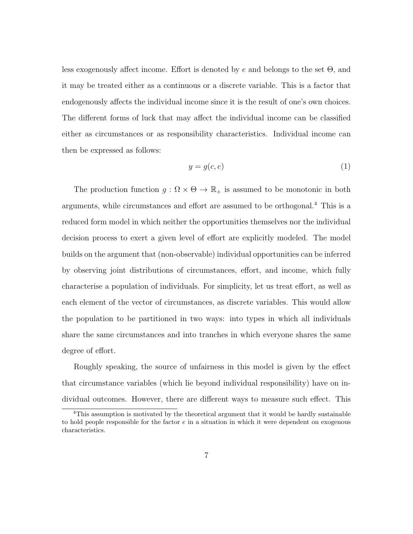less exogenously affect income. Effort is denoted by  $e$  and belongs to the set  $\Theta$ , and it may be treated either as a continuous or a discrete variable. This is a factor that endogenously affects the individual income since it is the result of one's own choices. The different forms of luck that may affect the individual income can be classified either as circumstances or as responsibility characteristics. Individual income can then be expressed as follows:

$$
y = g(c, e) \tag{1}
$$

The production function  $g : \Omega \times \Theta \to \mathbb{R}_+$  is assumed to be monotonic in both arguments, while circumstances and effort are assumed to be orthogonal. $4$  This is a reduced form model in which neither the opportunities themselves nor the individual decision process to exert a given level of effort are explicitly modeled. The model builds on the argument that (non-observable) individual opportunities can be inferred by observing joint distributions of circumstances, effort, and income, which fully characterise a population of individuals. For simplicity, let us treat effort, as well as each element of the vector of circumstances, as discrete variables. This would allow the population to be partitioned in two ways: into types in which all individuals share the same circumstances and into tranches in which everyone shares the same degree of effort.

Roughly speaking, the source of unfairness in this model is given by the effect that circumstance variables (which lie beyond individual responsibility) have on individual outcomes. However, there are different ways to measure such effect. This

<sup>4</sup>This assumption is motivated by the theoretical argument that it would be hardly sustainable to hold people responsible for the factor *e* in a situation in which it were dependent on exogenous characteristics.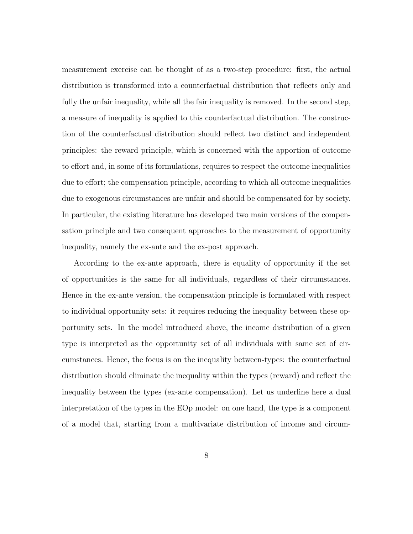measurement exercise can be thought of as a two-step procedure: first, the actual distribution is transformed into a counterfactual distribution that reflects only and fully the unfair inequality, while all the fair inequality is removed. In the second step, a measure of inequality is applied to this counterfactual distribution. The construction of the counterfactual distribution should reflect two distinct and independent principles: the reward principle, which is concerned with the apportion of outcome to effort and, in some of its formulations, requires to respect the outcome inequalities due to effort; the compensation principle, according to which all outcome inequalities due to exogenous circumstances are unfair and should be compensated for by society. In particular, the existing literature has developed two main versions of the compensation principle and two consequent approaches to the measurement of opportunity inequality, namely the ex-ante and the ex-post approach.

According to the ex-ante approach, there is equality of opportunity if the set of opportunities is the same for all individuals, regardless of their circumstances. Hence in the ex-ante version, the compensation principle is formulated with respect to individual opportunity sets: it requires reducing the inequality between these opportunity sets. In the model introduced above, the income distribution of a given type is interpreted as the opportunity set of all individuals with same set of circumstances. Hence, the focus is on the inequality between-types: the counterfactual distribution should eliminate the inequality within the types (reward) and reflect the inequality between the types (ex-ante compensation). Let us underline here a dual interpretation of the types in the EOp model: on one hand, the type is a component of a model that, starting from a multivariate distribution of income and circum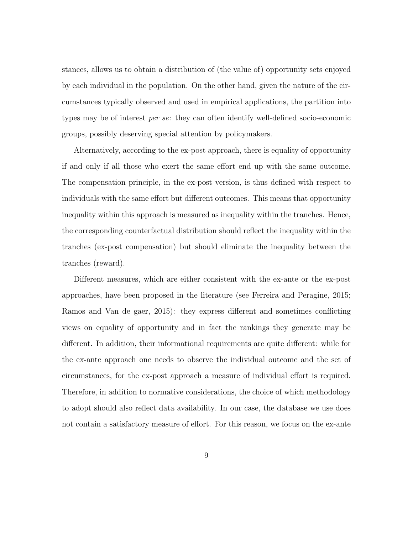stances, allows us to obtain a distribution of (the value of) opportunity sets enjoyed by each individual in the population. On the other hand, given the nature of the circumstances typically observed and used in empirical applications, the partition into types may be of interest *per se*: they can often identify well-defined socio-economic groups, possibly deserving special attention by policymakers.

Alternatively, according to the ex-post approach, there is equality of opportunity if and only if all those who exert the same effort end up with the same outcome. The compensation principle, in the ex-post version, is thus defined with respect to individuals with the same effort but different outcomes. This means that opportunity inequality within this approach is measured as inequality within the tranches. Hence, the corresponding counterfactual distribution should reflect the inequality within the tranches (ex-post compensation) but should eliminate the inequality between the tranches (reward).

Different measures, which are either consistent with the ex-ante or the ex-post approaches, have been proposed in the literature (see Ferreira and Peragine, 2015; Ramos and Van de gaer, 2015): they express different and sometimes conflicting views on equality of opportunity and in fact the rankings they generate may be different. In addition, their informational requirements are quite different: while for the ex-ante approach one needs to observe the individual outcome and the set of circumstances, for the ex-post approach a measure of individual effort is required. Therefore, in addition to normative considerations, the choice of which methodology to adopt should also reflect data availability. In our case, the database we use does not contain a satisfactory measure of effort. For this reason, we focus on the ex-ante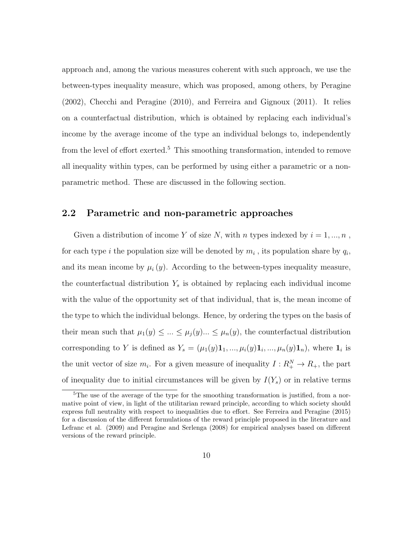approach and, among the various measures coherent with such approach, we use the between-types inequality measure, which was proposed, among others, by Peragine (2002), Checchi and Peragine (2010), and Ferreira and Gignoux (2011). It relies on a counterfactual distribution, which is obtained by replacing each individual's income by the average income of the type an individual belongs to, independently from the level of effort exerted.<sup>[5](#page-1-0)</sup> This smoothing transformation, intended to remove all inequality within types, can be performed by using either a parametric or a nonparametric method. These are discussed in the following section.

#### 2.2 Parametric and non-parametric approaches

Given a distribution of income *Y* of size *N*, with *n* types indexed by  $i = 1, ..., n$ , for each type *i* the population size will be denoted by  $m_i$ , its population share by  $q_i$ , and its mean income by  $\mu_i(y)$ . According to the between-types inequality measure, the counterfactual distribution  $Y_s$  is obtained by replacing each individual income with the value of the opportunity set of that individual, that is, the mean income of the type to which the individual belongs. Hence, by ordering the types on the basis of their mean such that  $\mu_1(y) \leq ... \leq \mu_j(y) ... \leq \mu_n(y)$ , the counterfactual distribution corresponding to *Y* is defined as  $Y_s = (\mu_1(y)1_1, ..., \mu_i(y)1_i, ..., \mu_n(y)1_n)$ , where  $1_i$  is the unit vector of size  $m_i$ . For a given measure of inequality  $I: R_+^N \to R_+$ , the part of inequality due to initial circumstances will be given by  $I(Y_s)$  or in relative terms

<sup>&</sup>lt;sup>5</sup>The use of the average of the type for the smoothing transformation is justified, from a normative point of view, in light of the utilitarian reward principle, according to which society should express full neutrality with respect to inequalities due to effort. See Ferreira and Peragine (2015) for a discussion of the different formulations of the reward principle proposed in the literature and Lefranc et al. (2009) and Peragine and Serlenga (2008) for empirical analyses based on different versions of the reward principle.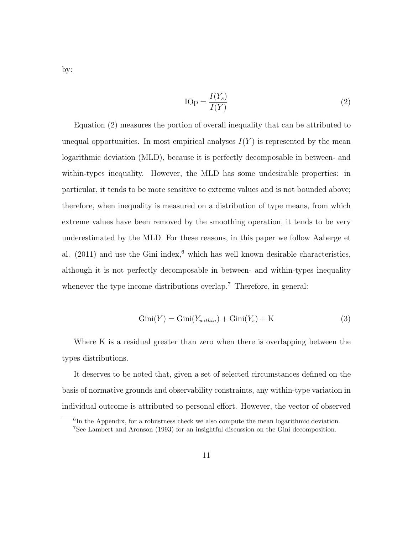by:

$$
IOp = \frac{I(Y_s)}{I(Y)}\tag{2}
$$

Equation (2) measures the portion of overall inequality that can be attributed to unequal opportunities. In most empirical analyses  $I(Y)$  is represented by the mean logarithmic deviation (MLD), because it is perfectly decomposable in between- and within-types inequality. However, the MLD has some undesirable properties: in particular, it tends to be more sensitive to extreme values and is not bounded above; therefore, when inequality is measured on a distribution of type means, from which extreme values have been removed by the smoothing operation, it tends to be very underestimated by the MLD. For these reasons, in this paper we follow Aaberge et al.  $(2011)$  and use the Gini index,<sup>[6](#page-1-0)</sup> which has well known desirable characteristics, although it is not perfectly decomposable in between- and within-types inequality whenever the type income distributions overlap.<sup>[7](#page-1-0)</sup> Therefore, in general:

$$
Gini(Y) = Gini(Y_{within}) + Gini(Y_s) + K
$$
\n(3)

Where K is a residual greater than zero when there is overlapping between the types distributions.

It deserves to be noted that, given a set of selected circumstances defined on the basis of normative grounds and observability constraints, any within-type variation in individual outcome is attributed to personal effort. However, the vector of observed

 $6$ In the Appendix, for a robustness check we also compute the mean logarithmic deviation. <sup>7</sup>See Lambert and Aronson (1993) for an insightful discussion on the Gini decomposition.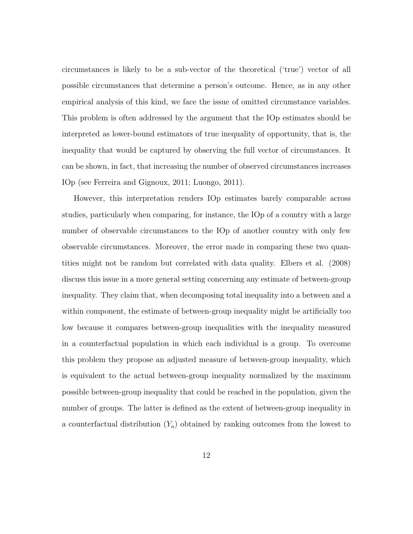circumstances is likely to be a sub-vector of the theoretical ('true') vector of all possible circumstances that determine a person's outcome. Hence, as in any other empirical analysis of this kind, we face the issue of omitted circumstance variables. This problem is often addressed by the argument that the IOp estimates should be interpreted as lower-bound estimators of true inequality of opportunity, that is, the inequality that would be captured by observing the full vector of circumstances. It can be shown, in fact, that increasing the number of observed circumstances increases IOp (see Ferreira and Gignoux, 2011; Luongo, 2011).

However, this interpretation renders IOp estimates barely comparable across studies, particularly when comparing, for instance, the IOp of a country with a large number of observable circumstances to the IOp of another country with only few observable circumstances. Moreover, the error made in comparing these two quantities might not be random but correlated with data quality. Elbers et al. (2008) discuss this issue in a more general setting concerning any estimate of between-group inequality. They claim that, when decomposing total inequality into a between and a within component, the estimate of between-group inequality might be artificially too low because it compares between-group inequalities with the inequality measured in a counterfactual population in which each individual is a group. To overcome this problem they propose an adjusted measure of between-group inequality, which is equivalent to the actual between-group inequality normalized by the maximum possible between-group inequality that could be reached in the population, given the number of groups. The latter is defined as the extent of between-group inequality in a counterfactual distribution  $(Y_a)$  obtained by ranking outcomes from the lowest to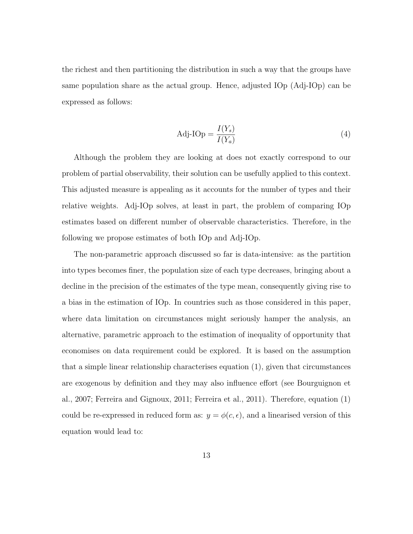the richest and then partitioning the distribution in such a way that the groups have same population share as the actual group. Hence, adjusted IOp (Adj-IOp) can be expressed as follows:

$$
Adj\text{-}\text{IOp} = \frac{I(Y_s)}{I(Y_a)}\tag{4}
$$

Although the problem they are looking at does not exactly correspond to our problem of partial observability, their solution can be usefully applied to this context. This adjusted measure is appealing as it accounts for the number of types and their relative weights. Adj-IOp solves, at least in part, the problem of comparing IOp estimates based on different number of observable characteristics. Therefore, in the following we propose estimates of both IOp and Adj-IOp.

The non-parametric approach discussed so far is data-intensive: as the partition into types becomes finer, the population size of each type decreases, bringing about a decline in the precision of the estimates of the type mean, consequently giving rise to a bias in the estimation of IOp. In countries such as those considered in this paper, where data limitation on circumstances might seriously hamper the analysis, an alternative, parametric approach to the estimation of inequality of opportunity that economises on data requirement could be explored. It is based on the assumption that a simple linear relationship characterises equation (1), given that circumstances are exogenous by definition and they may also influence effort (see Bourguignon et al., 2007; Ferreira and Gignoux, 2011; Ferreira et al., 2011). Therefore, equation (1) could be re-expressed in reduced form as:  $y = \phi(c, \epsilon)$ , and a linearised version of this equation would lead to: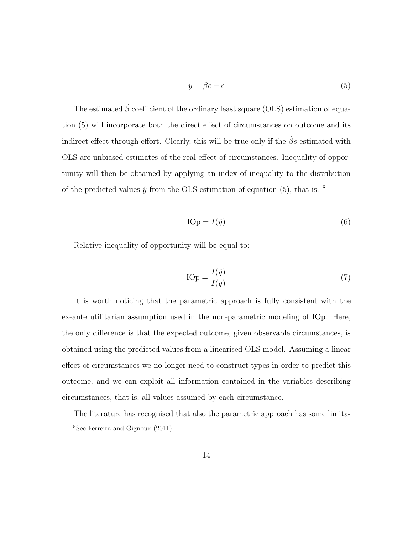$$
y = \beta c + \epsilon \tag{5}
$$

The estimated  $\hat{\beta}$  coefficient of the ordinary least square (OLS) estimation of equation (5) will incorporate both the direct effect of circumstances on outcome and its indirect effect through effort. Clearly, this will be true only if the  $\hat{\beta}s$  estimated with OLS are unbiased estimates of the real effect of circumstances. Inequality of opportunity will then be obtained by applying an index of inequality to the distribution of the predicted values  $\hat{y}$  from the OLS estimation of equation (5), that is: <sup>[8](#page-1-0)</sup>

$$
\text{IOp} = I(\hat{y})\tag{6}
$$

Relative inequality of opportunity will be equal to:

$$
IOp = \frac{I(\hat{y})}{I(y)}
$$
\n<sup>(7)</sup>

It is worth noticing that the parametric approach is fully consistent with the ex-ante utilitarian assumption used in the non-parametric modeling of IOp. Here, the only difference is that the expected outcome, given observable circumstances, is obtained using the predicted values from a linearised OLS model. Assuming a linear effect of circumstances we no longer need to construct types in order to predict this outcome, and we can exploit all information contained in the variables describing circumstances, that is, all values assumed by each circumstance.

The literature has recognised that also the parametric approach has some limita-<sup>8</sup>See Ferreira and Gignoux (2011).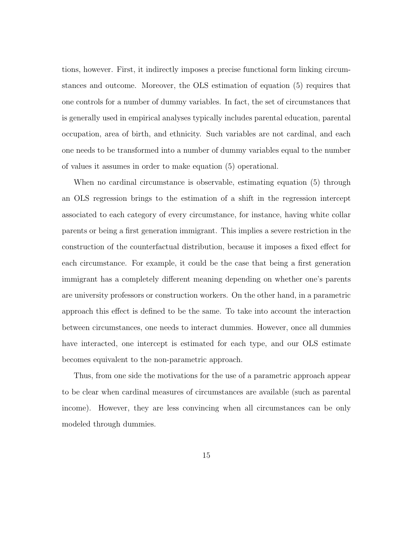tions, however. First, it indirectly imposes a precise functional form linking circumstances and outcome. Moreover, the OLS estimation of equation (5) requires that one controls for a number of dummy variables. In fact, the set of circumstances that is generally used in empirical analyses typically includes parental education, parental occupation, area of birth, and ethnicity. Such variables are not cardinal, and each one needs to be transformed into a number of dummy variables equal to the number of values it assumes in order to make equation (5) operational.

When no cardinal circumstance is observable, estimating equation (5) through an OLS regression brings to the estimation of a shift in the regression intercept associated to each category of every circumstance, for instance, having white collar parents or being a first generation immigrant. This implies a severe restriction in the construction of the counterfactual distribution, because it imposes a fixed effect for each circumstance. For example, it could be the case that being a first generation immigrant has a completely different meaning depending on whether one's parents are university professors or construction workers. On the other hand, in a parametric approach this effect is defined to be the same. To take into account the interaction between circumstances, one needs to interact dummies. However, once all dummies have interacted, one intercept is estimated for each type, and our OLS estimate becomes equivalent to the non-parametric approach.

Thus, from one side the motivations for the use of a parametric approach appear to be clear when cardinal measures of circumstances are available (such as parental income). However, they are less convincing when all circumstances can be only modeled through dummies.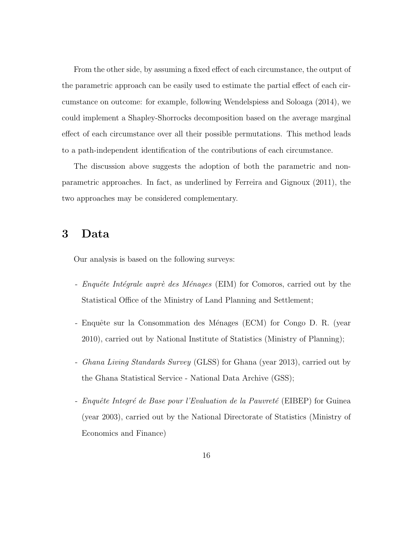From the other side, by assuming a fixed effect of each circumstance, the output of the parametric approach can be easily used to estimate the partial effect of each circumstance on outcome: for example, following Wendelspiess and Soloaga (2014), we could implement a Shapley-Shorrocks decomposition based on the average marginal effect of each circumstance over all their possible permutations. This method leads to a path-independent identification of the contributions of each circumstance.

The discussion above suggests the adoption of both the parametric and nonparametric approaches. In fact, as underlined by Ferreira and Gignoux (2011), the two approaches may be considered complementary.

### 3 Data

Our analysis is based on the following surveys:

- *Enquête Intégrale auprè des Ménages* (EIM) for Comoros, carried out by the Statistical Office of the Ministry of Land Planning and Settlement;
- Enquête sur la Consommation des Ménages (ECM) for Congo D. R. (year 2010), carried out by National Institute of Statistics (Ministry of Planning);
- *Ghana Living Standards Survey* (GLSS) for Ghana (year 2013), carried out by the Ghana Statistical Service - National Data Archive (GSS);
- *Enquête Integré de Base pour l'Evaluation de la Pauvreté* (EIBEP) for Guinea (year 2003), carried out by the National Directorate of Statistics (Ministry of Economics and Finance)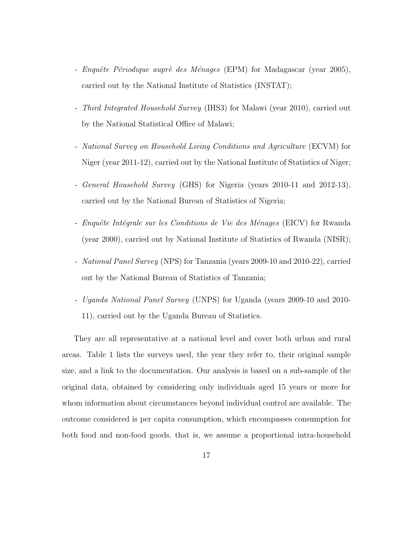- *Enquˆete P´eriodique aupr`e des M´enages* (EPM) for Madagascar (year 2005), carried out by the National Institute of Statistics (INSTAT);
- *Third Integrated Household Survey* (IHS3) for Malawi (year 2010), carried out by the National Statistical Office of Malawi;
- *National Survey on Household Living Conditions and Agriculture* (ECVM) for Niger (year 2011-12), carried out by the National Institute of Statistics of Niger;
- *General Household Survey* (GHS) for Nigeria (years 2010-11 and 2012-13), carried out by the National Bureau of Statistics of Nigeria;
- *Enquˆete Int´egrale sur les Conditions de Vie des M´enages* (EICV) for Rwanda (year 2000), carried out by National Institute of Statistics of Rwanda (NISR);
- *National Panel Survey* (NPS) for Tanzania (years 2009-10 and 2010-22), carried out by the National Bureau of Statistics of Tanzania;
- *Uganda National Panel Survey* (UNPS) for Uganda (years 2009-10 and 2010- 11), carried out by the Uganda Bureau of Statistics.

They are all representative at a national level and cover both urban and rural areas. Table [1](#page-18-0) lists the surveys used, the year they refer to, their original sample size, and a link to the documentation. Our analysis is based on a sub-sample of the original data, obtained by considering only individuals aged 15 years or more for whom information about circumstances beyond individual control are available. The outcome considered is per capita consumption, which encompasses consumption for both food and non-food goods, that is, we assume a proportional intra-household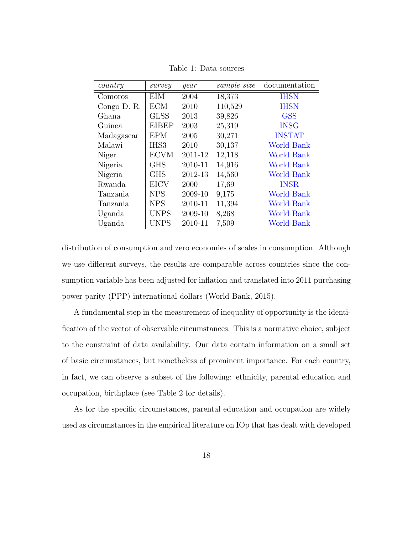<span id="page-18-0"></span>

| country     | survey      | year    | sample size | documentation     |
|-------------|-------------|---------|-------------|-------------------|
| Comoros     | <b>EIM</b>  | 2004    | 18,373      | <b>IHSN</b>       |
| Congo D. R. | <b>ECM</b>  | 2010    | 110,529     | <b>IHSN</b>       |
| Ghana       | <b>GLSS</b> | 2013    | 39,826      | <b>GSS</b>        |
| Guinea      | EIBEP       | 2003    | 25,319      | <b>INSG</b>       |
| Madagascar  | EPM         | 2005    | 30,271      | <b>INSTAT</b>     |
| Malawi      | IHS3        | 2010    | 30,137      | <b>World Bank</b> |
| Niger       | <b>ECVM</b> | 2011-12 | 12,118      | World Bank        |
| Nigeria     | <b>GHS</b>  | 2010-11 | 14,916      | World Bank        |
| Nigeria     | <b>GHS</b>  | 2012-13 | 14,560      | World Bank        |
| Rwanda      | <b>EICV</b> | 2000    | 17,69       | <b>INSR</b>       |
| Tanzania    | <b>NPS</b>  | 2009-10 | 9,175       | World Bank        |
| Tanzania    | <b>NPS</b>  | 2010-11 | 11,394      | World Bank        |
| Uganda      | UNPS        | 2009-10 | 8,268       | World Bank        |
| Uganda      | <b>UNPS</b> | 2010-11 | 7,509       | World Bank        |

Table 1: Data sources

distribution of consumption and zero economies of scales in consumption. Although we use different surveys, the results are comparable across countries since the consumption variable has been adjusted for inflation and translated into 2011 purchasing power parity (PPP) international dollars (World Bank, 2015).

A fundamental step in the measurement of inequality of opportunity is the identification of the vector of observable circumstances. This is a normative choice, subject to the constraint of data availability. Our data contain information on a small set of basic circumstances, but nonetheless of prominent importance. For each country, in fact, we can observe a subset of the following: ethnicity, parental education and occupation, birthplace (see Table [2](#page-20-0) for details).

As for the specific circumstances, parental education and occupation are widely used as circumstances in the empirical literature on IOp that has dealt with developed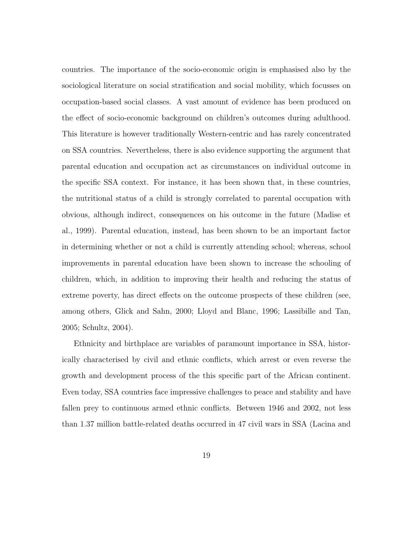countries. The importance of the socio-economic origin is emphasised also by the sociological literature on social stratification and social mobility, which focusses on occupation-based social classes. A vast amount of evidence has been produced on the effect of socio-economic background on children's outcomes during adulthood. This literature is however traditionally Western-centric and has rarely concentrated on SSA countries. Nevertheless, there is also evidence supporting the argument that parental education and occupation act as circumstances on individual outcome in the specific SSA context. For instance, it has been shown that, in these countries, the nutritional status of a child is strongly correlated to parental occupation with obvious, although indirect, consequences on his outcome in the future (Madise et al., 1999). Parental education, instead, has been shown to be an important factor in determining whether or not a child is currently attending school; whereas, school improvements in parental education have been shown to increase the schooling of children, which, in addition to improving their health and reducing the status of extreme poverty, has direct effects on the outcome prospects of these children (see, among others, Glick and Sahn, 2000; Lloyd and Blanc, 1996; Lassibille and Tan, 2005; Schultz, 2004).

Ethnicity and birthplace are variables of paramount importance in SSA, historically characterised by civil and ethnic conflicts, which arrest or even reverse the growth and development process of the this specific part of the African continent. Even today, SSA countries face impressive challenges to peace and stability and have fallen prey to continuous armed ethnic conflicts. Between 1946 and 2002, not less than 1.37 million battle-related deaths occurred in 47 civil wars in SSA (Lacina and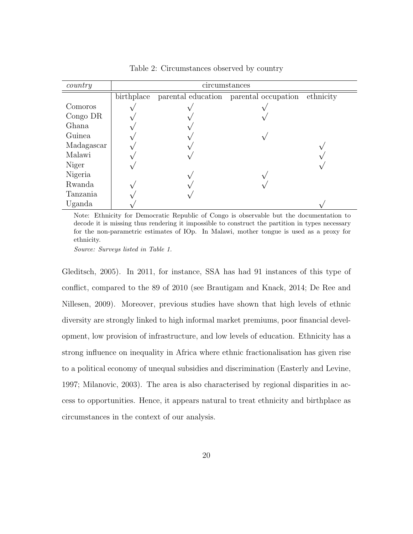<span id="page-20-0"></span>

| country    | circumstances |  |                                        |           |  |
|------------|---------------|--|----------------------------------------|-----------|--|
|            | birthplace    |  | parental education parental occupation | ethnicity |  |
| Comoros    |               |  |                                        |           |  |
| Congo DR   |               |  |                                        |           |  |
| Ghana      |               |  |                                        |           |  |
| Guinea     |               |  |                                        |           |  |
| Madagascar |               |  |                                        |           |  |
| Malawi     |               |  |                                        |           |  |
| Niger      |               |  |                                        |           |  |
| Nigeria    |               |  |                                        |           |  |
| Rwanda     |               |  |                                        |           |  |
| Tanzania   |               |  |                                        |           |  |
| Uganda     |               |  |                                        |           |  |

Table 2: Circumstances observed by country

Note: Ethnicity for Democratic Republic of Congo is observable but the documentation to decode it is missing thus rendering it impossible to construct the partition in types necessary for the non-parametric estimates of IOp. In Malawi, mother tongue is used as a proxy for ethnicity.

*Source: Surveys listed in Table [1.](#page-18-0)*

Gleditsch, 2005). In 2011, for instance, SSA has had 91 instances of this type of conflict, compared to the 89 of 2010 (see Brautigam and Knack, 2014; De Ree and Nillesen, 2009). Moreover, previous studies have shown that high levels of ethnic diversity are strongly linked to high informal market premiums, poor financial development, low provision of infrastructure, and low levels of education. Ethnicity has a strong influence on inequality in Africa where ethnic fractionalisation has given rise to a political economy of unequal subsidies and discrimination (Easterly and Levine, 1997; Milanovic, 2003). The area is also characterised by regional disparities in access to opportunities. Hence, it appears natural to treat ethnicity and birthplace as circumstances in the context of our analysis.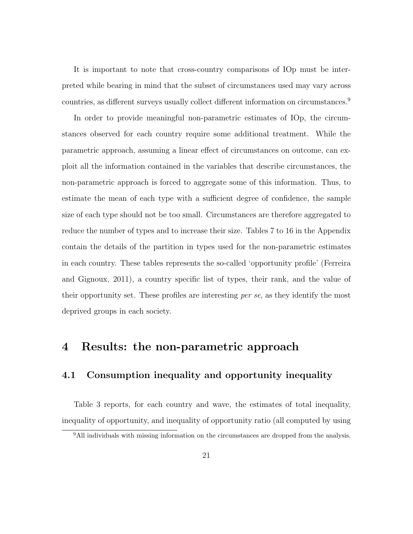It is important to note that cross-country comparisons of IOp must be interpreted while bearing in mind that the subset of circumstances used may vary across countries, as different surveys usually collect different information on circumstances.<sup>[9](#page-1-0)</sup>

In order to provide meaningful non-parametric estimates of IOp, the circumstances observed for each country require some additional treatment. While the parametric approach, assuming a linear effect of circumstances on outcome, can exploit all the information contained in the variables that describe circumstances, the non-parametric approach is forced to aggregate some of this information. Thus, to estimate the mean of each type with a sufficient degree of confidence, the sample size of each type should not be too small. Circumstances are therefore aggregated to reduce the number of types and to increase their size. Tables [7](#page-44-0) to [16](#page-53-0) in the Appendix contain the details of the partition in types used for the non-parametric estimates in each country. These tables represents the so-called 'opportunity profile' (Ferreira and Gignoux, 2011), a country specific list of types, their rank, and the value of their opportunity set. These profiles are interesting *per se*, as they identify the most deprived groups in each society.

## 4 Results: the non-parametric approach

#### 4.1 Consumption inequality and opportunity inequality

Table [3](#page-22-0) reports, for each country and wave, the estimates of total inequality, inequality of opportunity, and inequality of opportunity ratio (all computed by using

<sup>&</sup>lt;sup>9</sup>All individuals with missing information on the circumstances are dropped from the analysis.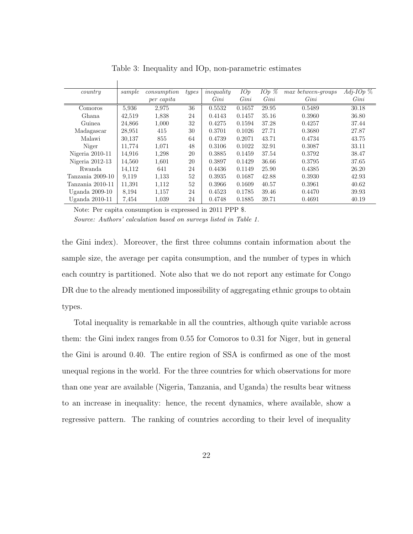<span id="page-22-0"></span>

| countru          | sample | consumption | types | inequality | IOp    | $IOp\ \%$ | max between-groups | $Adj$ -IOp $\%$ |
|------------------|--------|-------------|-------|------------|--------|-----------|--------------------|-----------------|
|                  |        | per capita  |       | Gini       | Gini   | Gini      | Gini               | Gini            |
| Comoros          | 5,936  | 2,975       | 36    | 0.5532     | 0.1657 | 29.95     | 0.5489             | 30.18           |
| Ghana.           | 42,519 | 1,838       | 24    | 0.4143     | 0.1457 | 35.16     | 0.3960             | 36.80           |
| Guinea.          | 24,866 | 1,000       | 32    | 0.4275     | 0.1594 | 37.28     | 0.4257             | 37.44           |
| Madagascar       | 28,951 | 415         | 30    | 0.3701     | 0.1026 | 27.71     | 0.3680             | 27.87           |
| Malawi           | 30,137 | 855         | 64    | 0.4739     | 0.2071 | 43.71     | 0.4734             | 43.75           |
| Niger            | 11.774 | 1,071       | 48    | 0.3106     | 0.1022 | 32.91     | 0.3087             | 33.11           |
| Nigeria 2010-11  | 14,916 | 1,298       | 20    | 0.3885     | 0.1459 | 37.54     | 0.3792             | 38.47           |
| Nigeria 2012-13  | 14,560 | 1,601       | 20    | 0.3897     | 0.1429 | 36.66     | 0.3795             | 37.65           |
| Rwanda           | 14,112 | 641         | 24    | 0.4436     | 0.1149 | 25.90     | 0.4385             | 26.20           |
| Tanzania 2009-10 | 9.119  | 1,133       | 52    | 0.3935     | 0.1687 | 42.88     | 0.3930             | 42.93           |
| Tanzania 2010-11 | 11.391 | 1,112       | 52    | 0.3966     | 0.1609 | 40.57     | 0.3961             | 40.62           |
| Uganda 2009-10   | 8.194  | 1,157       | 24    | 0.4523     | 0.1785 | 39.46     | 0.4470             | 39.93           |
| Uganda 2010-11   | 7.454  | 1,039       | 24    | 0.4748     | 0.1885 | 39.71     | 0.4691             | 40.19           |

Table 3: Inequality and IOp, non-parametric estimates

Note: Per capita consumption is expressed in 2011 PPP \$.

*Source: Authors' calculation based on surveys listed in Table 1.*

the Gini index). Moreover, the first three columns contain information about the sample size, the average per capita consumption, and the number of types in which each country is partitioned. Note also that we do not report any estimate for Congo DR due to the already mentioned impossibility of aggregating ethnic groups to obtain types.

Total inequality is remarkable in all the countries, although quite variable across them: the Gini index ranges from 0.55 for Comoros to 0.31 for Niger, but in general the Gini is around 0.40. The entire region of SSA is confirmed as one of the most unequal regions in the world. For the three countries for which observations for more than one year are available (Nigeria, Tanzania, and Uganda) the results bear witness to an increase in inequality: hence, the recent dynamics, where available, show a regressive pattern. The ranking of countries according to their level of inequality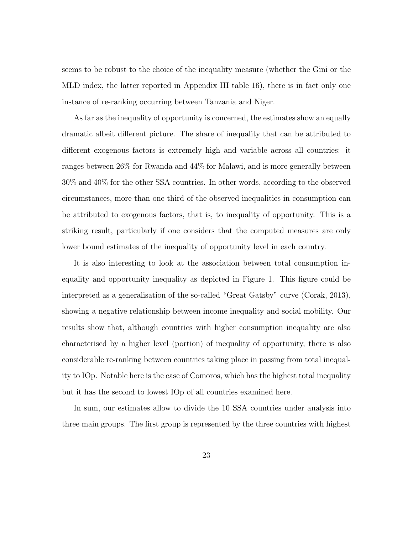seems to be robust to the choice of the inequality measure (whether the Gini or the MLD index, the latter reported in Appendix III table 16), there is in fact only one instance of re-ranking occurring between Tanzania and Niger.

As far as the inequality of opportunity is concerned, the estimates show an equally dramatic albeit different picture. The share of inequality that can be attributed to different exogenous factors is extremely high and variable across all countries: it ranges between 26% for Rwanda and 44% for Malawi, and is more generally between 30% and 40% for the other SSA countries. In other words, according to the observed circumstances, more than one third of the observed inequalities in consumption can be attributed to exogenous factors, that is, to inequality of opportunity. This is a striking result, particularly if one considers that the computed measures are only lower bound estimates of the inequality of opportunity level in each country.

It is also interesting to look at the association between total consumption inequality and opportunity inequality as depicted in Figure [1.](#page-24-0) This figure could be interpreted as a generalisation of the so-called "Great Gatsby" curve (Corak, 2013), showing a negative relationship between income inequality and social mobility. Our results show that, although countries with higher consumption inequality are also characterised by a higher level (portion) of inequality of opportunity, there is also considerable re-ranking between countries taking place in passing from total inequality to IOp. Notable here is the case of Comoros, which has the highest total inequality but it has the second to lowest IOp of all countries examined here.

In sum, our estimates allow to divide the 10 SSA countries under analysis into three main groups. The first group is represented by the three countries with highest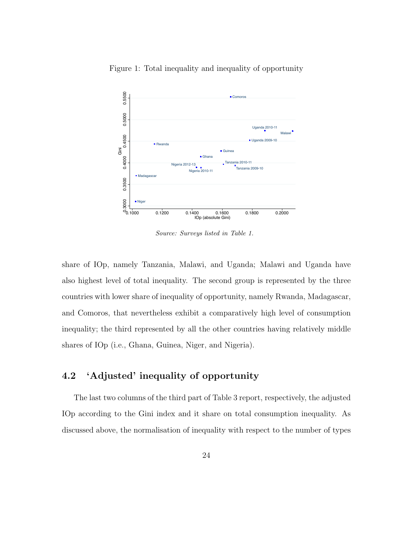

<span id="page-24-0"></span>Figure 1: Total inequality and inequality of opportunity

*Source: Surveys listed in Table 1.*

share of IOp, namely Tanzania, Malawi, and Uganda; Malawi and Uganda have also highest level of total inequality. The second group is represented by the three countries with lower share of inequality of opportunity, namely Rwanda, Madagascar, and Comoros, that nevertheless exhibit a comparatively high level of consumption inequality; the third represented by all the other countries having relatively middle shares of IOp (i.e., Ghana, Guinea, Niger, and Nigeria).

### 4.2 'Adjusted' inequality of opportunity

The last two columns of the third part of Table [3](#page-22-0) report, respectively, the adjusted IOp according to the Gini index and it share on total consumption inequality. As discussed above, the normalisation of inequality with respect to the number of types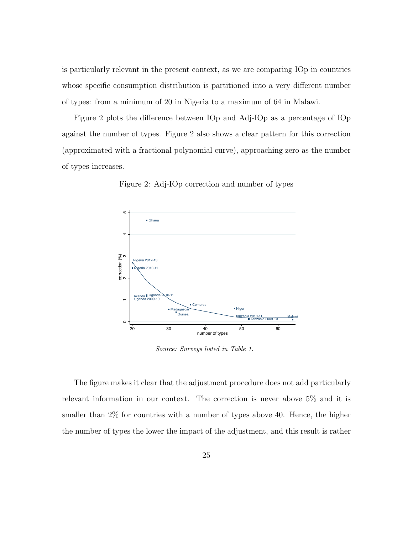is particularly relevant in the present context, as we are comparing IOp in countries whose specific consumption distribution is partitioned into a very different number of types: from a minimum of 20 in Nigeria to a maximum of 64 in Malawi.

Figure [2](#page-25-0) plots the difference between IOp and Adj-IOp as a percentage of IOp against the number of types. Figure [2](#page-25-0) also shows a clear pattern for this correction (approximated with a fractional polynomial curve), approaching zero as the number of types increases.

Figure 2: Adj-IOp correction and number of types

<span id="page-25-0"></span>

*Source: Surveys listed in Table 1.*

The figure makes it clear that the adjustment procedure does not add particularly relevant information in our context. The correction is never above 5% and it is smaller than 2% for countries with a number of types above 40. Hence, the higher the number of types the lower the impact of the adjustment, and this result is rather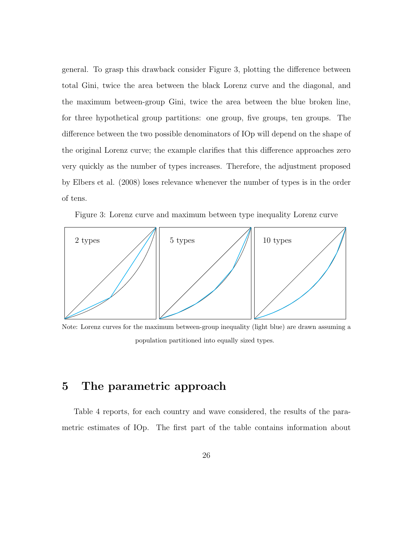general. To grasp this drawback consider Figure [3,](#page-26-0) plotting the difference between total Gini, twice the area between the black Lorenz curve and the diagonal, and the maximum between-group Gini, twice the area between the blue broken line, for three hypothetical group partitions: one group, five groups, ten groups. The difference between the two possible denominators of IOp will depend on the shape of the original Lorenz curve; the example clarifies that this difference approaches zero very quickly as the number of types increases. Therefore, the adjustment proposed by Elbers et al. (2008) loses relevance whenever the number of types is in the order of tens.

<span id="page-26-0"></span>



Note: Lorenz curves for the maximum between-group inequality (light blue) are drawn assuming a population partitioned into equally sized types.

## 5 The parametric approach

Table [4](#page-27-0) reports, for each country and wave considered, the results of the parametric estimates of IOp. The first part of the table contains information about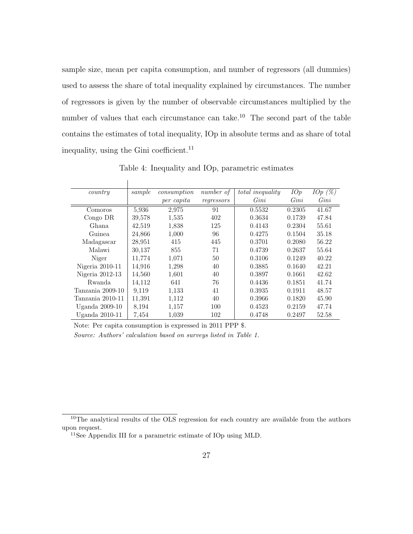sample size, mean per capita consumption, and number of regressors (all dummies) used to assess the share of total inequality explained by circumstances. The number of regressors is given by the number of observable circumstances multiplied by the number of values that each circumstance can take.<sup>[10](#page-1-0)</sup> The second part of the table contains the estimates of total inequality, IOp in absolute terms and as share of total inequality, using the Gini coefficient. $11$ 

<span id="page-27-0"></span>

| country          | sample | consumption | number of  | total inequality | IOp    | $IOp(\%)$ |
|------------------|--------|-------------|------------|------------------|--------|-----------|
|                  |        | per capita  | regressors | Gini             | Gini   | Gini      |
| Comoros          | 5,936  | 2,975       | 91         | 0.5532           | 0.2305 | 41.67     |
| $Congo$ DR       | 39,578 | 1,535       | 402        | 0.3634           | 0.1739 | 47.84     |
| Ghana            | 42,519 | 1,838       | 125        | 0.4143           | 0.2304 | 55.61     |
| Guinea.          | 24,866 | 1,000       | 96         | 0.4275           | 0.1504 | 35.18     |
| Madagascar       | 28,951 | 415         | 445        | 0.3701           | 0.2080 | 56.22     |
| Malawi           | 30,137 | 855         | 71         | 0.4739           | 0.2637 | 55.64     |
| Niger            | 11,774 | 1,071       | 50         | 0.3106           | 0.1249 | 40.22     |
| Nigeria 2010-11  | 14.916 | 1,298       | 40         | 0.3885           | 0.1640 | 42.21     |
| Nigeria 2012-13  | 14,560 | 1,601       | 40         | 0.3897           | 0.1661 | 42.62     |
| Rwanda           | 14,112 | 641         | 76         | 0.4436           | 0.1851 | 41.74     |
| Tanzania 2009-10 | 9,119  | 1.133       | 41         | 0.3935           | 0.1911 | 48.57     |
| Tanzania 2010-11 | 11,391 | 1,112       | 40         | 0.3966           | 0.1820 | 45.90     |
| Uganda $2009-10$ | 8,194  | 1,157       | 100        | 0.4523           | 0.2159 | 47.74     |
| Uganda 2010-11   | 7.454  | 1,039       | 102        | 0.4748           | 0.2497 | 52.58     |

Table 4: Inequality and IOp, parametric estimates

Note: Per capita consumption is expressed in 2011 PPP \$.

*Source: Authors' calculation based on surveys listed in Table 1.*

 $10$ The analytical results of the OLS regression for each country are available from the authors upon request.

<sup>11</sup>See Appendix III for a parametric estimate of IOp using MLD.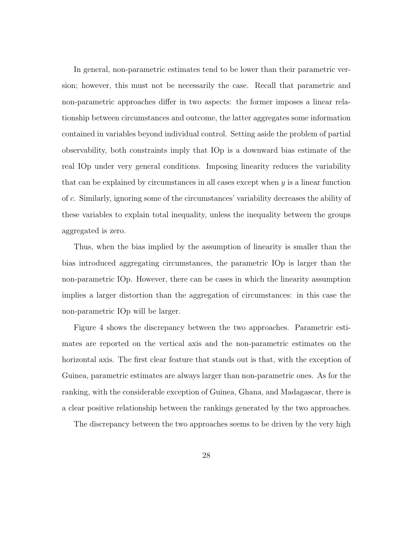In general, non-parametric estimates tend to be lower than their parametric version; however, this must not be necessarily the case. Recall that parametric and non-parametric approaches differ in two aspects: the former imposes a linear relationship between circumstances and outcome, the latter aggregates some information contained in variables beyond individual control. Setting aside the problem of partial observability, both constraints imply that IOp is a downward bias estimate of the real IOp under very general conditions. Imposing linearity reduces the variability that can be explained by circumstances in all cases except when *y* is a linear function of *c*. Similarly, ignoring some of the circumstances' variability decreases the ability of these variables to explain total inequality, unless the inequality between the groups aggregated is zero.

Thus, when the bias implied by the assumption of linearity is smaller than the bias introduced aggregating circumstances, the parametric IOp is larger than the non-parametric IOp. However, there can be cases in which the linearity assumption implies a larger distortion than the aggregation of circumstances: in this case the non-parametric IOp will be larger.

Figure 4 shows the discrepancy between the two approaches. Parametric estimates are reported on the vertical axis and the non-parametric estimates on the horizontal axis. The first clear feature that stands out is that, with the exception of Guinea, parametric estimates are always larger than non-parametric ones. As for the ranking, with the considerable exception of Guinea, Ghana, and Madagascar, there is a clear positive relationship between the rankings generated by the two approaches.

The discrepancy between the two approaches seems to be driven by the very high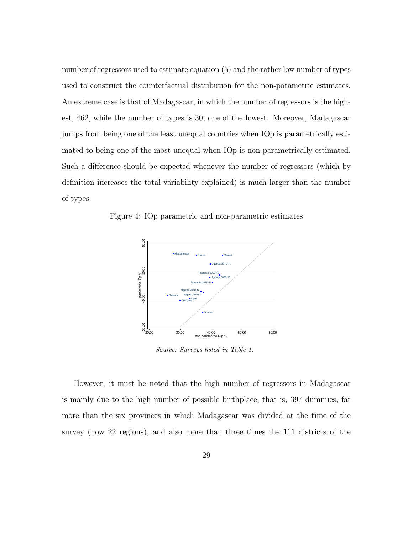number of regressors used to estimate equation (5) and the rather low number of types used to construct the counterfactual distribution for the non-parametric estimates. An extreme case is that of Madagascar, in which the number of regressors is the highest, 462, while the number of types is 30, one of the lowest. Moreover, Madagascar jumps from being one of the least unequal countries when IOp is parametrically estimated to being one of the most unequal when IOp is non-parametrically estimated. Such a difference should be expected whenever the number of regressors (which by definition increases the total variability explained) is much larger than the number of types.

Figure 4: IOp parametric and non-parametric estimates



*Source: Surveys listed in Table 1.*

However, it must be noted that the high number of regressors in Madagascar is mainly due to the high number of possible birthplace, that is, 397 dummies, far more than the six provinces in which Madagascar was divided at the time of the survey (now 22 regions), and also more than three times the 111 districts of the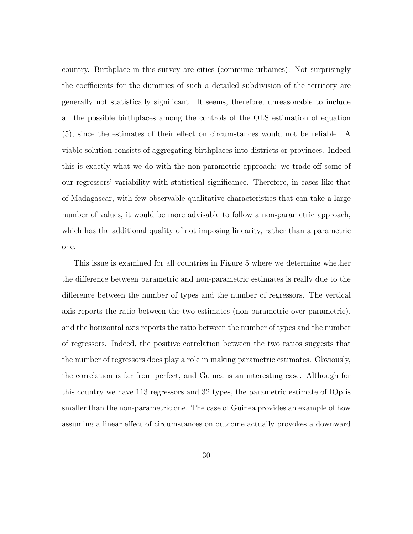country. Birthplace in this survey are cities (commune urbaines). Not surprisingly the coefficients for the dummies of such a detailed subdivision of the territory are generally not statistically significant. It seems, therefore, unreasonable to include all the possible birthplaces among the controls of the OLS estimation of equation  $(5)$ , since the estimates of their effect on circumstances would not be reliable. A viable solution consists of aggregating birthplaces into districts or provinces. Indeed this is exactly what we do with the non-parametric approach: we trade-off some of our regressors' variability with statistical significance. Therefore, in cases like that of Madagascar, with few observable qualitative characteristics that can take a large number of values, it would be more advisable to follow a non-parametric approach, which has the additional quality of not imposing linearity, rather than a parametric one.

This issue is examined for all countries in Figure [5](#page-31-0) where we determine whether the difference between parametric and non-parametric estimates is really due to the difference between the number of types and the number of regressors. The vertical axis reports the ratio between the two estimates (non-parametric over parametric), and the horizontal axis reports the ratio between the number of types and the number of regressors. Indeed, the positive correlation between the two ratios suggests that the number of regressors does play a role in making parametric estimates. Obviously, the correlation is far from perfect, and Guinea is an interesting case. Although for this country we have 113 regressors and 32 types, the parametric estimate of IOp is smaller than the non-parametric one. The case of Guinea provides an example of how assuming a linear effect of circumstances on outcome actually provokes a downward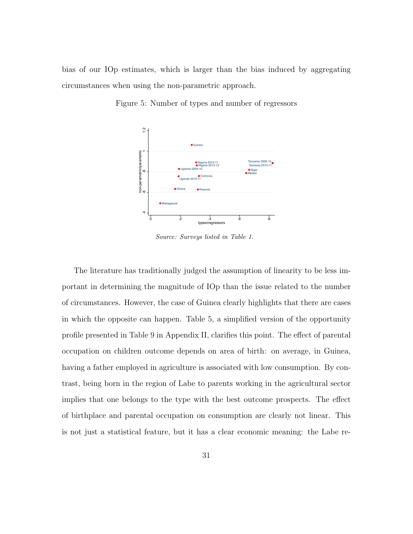<span id="page-31-0"></span>bias of our IOp estimates, which is larger than the bias induced by aggregating circumstances when using the non-parametric approach.



Figure 5: Number of types and number of regressors

*Source: Surveys listed in Table 1.*

The literature has traditionally judged the assumption of linearity to be less important in determining the magnitude of IOp than the issue related to the number of circumstances. However, the case of Guinea clearly highlights that there are cases in which the opposite can happen. Table [5,](#page-32-0) a simplified version of the opportunity profile presented in Table [9](#page-46-0) in Appendix II, clarifies this point. The effect of parental occupation on children outcome depends on area of birth: on average, in Guinea, having a father employed in agriculture is associated with low consumption. By contrast, being born in the region of Labe to parents working in the agricultural sector implies that one belongs to the type with the best outcome prospects. The effect of birthplace and parental occupation on consumption are clearly not linear. This is not just a statistical feature, but it has a clear economic meaning: the Labe re-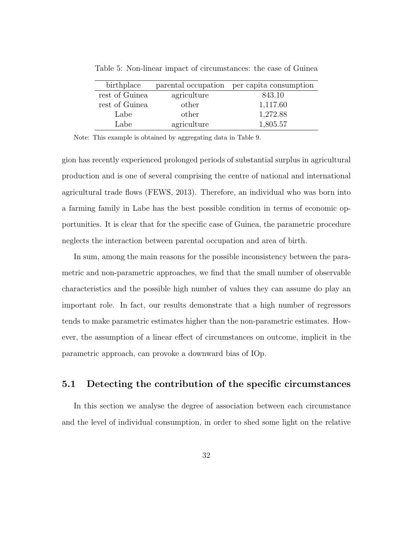| birthplace     |             | parental occupation per capita consumption |
|----------------|-------------|--------------------------------------------|
| rest of Guinea | agriculture | 843.10                                     |
| rest of Guinea | other       | 1,117.60                                   |
| Labe           | other       | 1,272.88                                   |
| Labe           | agriculture | 1,805.57                                   |

<span id="page-32-0"></span>Table 5: Non-linear impact of circumstances: the case of Guinea

Note: This example is obtained by aggregating data in Table [9.](#page-46-0)

gion has recently experienced prolonged periods of substantial surplus in agricultural production and is one of several comprising the centre of national and international agricultural trade flows (FEWS, 2013). Therefore, an individual who was born into a farming family in Labe has the best possible condition in terms of economic opportunities. It is clear that for the specific case of Guinea, the parametric procedure neglects the interaction between parental occupation and area of birth.

In sum, among the main reasons for the possible inconsistency between the parametric and non-parametric approaches, we find that the small number of observable characteristics and the possible high number of values they can assume do play an important role. In fact, our results demonstrate that a high number of regressors tends to make parametric estimates higher than the non-parametric estimates. However, the assumption of a linear effect of circumstances on outcome, implicit in the parametric approach, can provoke a downward bias of IOp.

#### 5.1 Detecting the contribution of the specific circumstances

In this section we analyse the degree of association between each circumstance and the level of individual consumption, in order to shed some light on the relative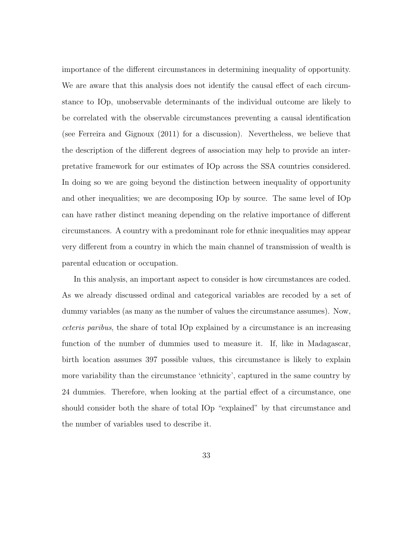importance of the different circumstances in determining inequality of opportunity. We are aware that this analysis does not identify the causal effect of each circumstance to IOp, unobservable determinants of the individual outcome are likely to be correlated with the observable circumstances preventing a causal identification (see Ferreira and Gignoux (2011) for a discussion). Nevertheless, we believe that the description of the different degrees of association may help to provide an interpretative framework for our estimates of IOp across the SSA countries considered. In doing so we are going beyond the distinction between inequality of opportunity and other inequalities; we are decomposing IOp by source. The same level of IOp can have rather distinct meaning depending on the relative importance of different circumstances. A country with a predominant role for ethnic inequalities may appear very different from a country in which the main channel of transmission of wealth is parental education or occupation.

In this analysis, an important aspect to consider is how circumstances are coded. As we already discussed ordinal and categorical variables are recoded by a set of dummy variables (as many as the number of values the circumstance assumes). Now, *ceteris paribus*, the share of total IOp explained by a circumstance is an increasing function of the number of dummies used to measure it. If, like in Madagascar, birth location assumes 397 possible values, this circumstance is likely to explain more variability than the circumstance 'ethnicity', captured in the same country by 24 dummies. Therefore, when looking at the partial effect of a circumstance, one should consider both the share of total IOp "explained" by that circumstance and the number of variables used to describe it.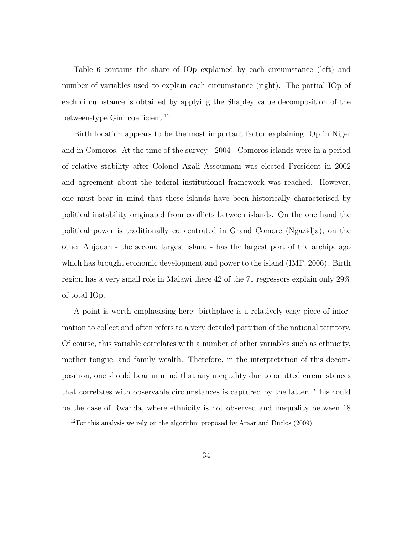Table [6](#page-36-0) contains the share of IOp explained by each circumstance (left) and number of variables used to explain each circumstance (right). The partial IOp of each circumstance is obtained by applying the Shapley value decomposition of the between-type Gini coefficient.<sup>[12](#page-1-0)</sup>

Birth location appears to be the most important factor explaining IOp in Niger and in Comoros. At the time of the survey - 2004 - Comoros islands were in a period of relative stability after Colonel Azali Assoumani was elected President in 2002 and agreement about the federal institutional framework was reached. However, one must bear in mind that these islands have been historically characterised by political instability originated from conflicts between islands. On the one hand the political power is traditionally concentrated in Grand Comore (Ngazidja), on the other Anjouan - the second largest island - has the largest port of the archipelago which has brought economic development and power to the island (IMF, 2006). Birth region has a very small role in Malawi there 42 of the 71 regressors explain only 29% of total IOp.

A point is worth emphasising here: birthplace is a relatively easy piece of information to collect and often refers to a very detailed partition of the national territory. Of course, this variable correlates with a number of other variables such as ethnicity, mother tongue, and family wealth. Therefore, in the interpretation of this decomposition, one should bear in mind that any inequality due to omitted circumstances that correlates with observable circumstances is captured by the latter. This could be the case of Rwanda, where ethnicity is not observed and inequality between 18

 $12$ For this analysis we rely on the algorithm proposed by Araar and Duclos (2009).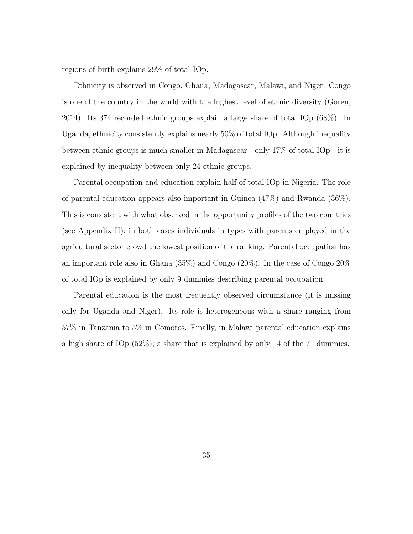regions of birth explains 29% of total IOp.

Ethnicity is observed in Congo, Ghana, Madagascar, Malawi, and Niger. Congo is one of the country in the world with the highest level of ethnic diversity (Goren, 2014). Its 374 recorded ethnic groups explain a large share of total IOp (68%). In Uganda, ethnicity consistently explains nearly 50% of total IOp. Although inequality between ethnic groups is much smaller in Madagascar - only 17% of total IOp - it is explained by inequality between only 24 ethnic groups.

Parental occupation and education explain half of total IOp in Nigeria. The role of parental education appears also important in Guinea (47%) and Rwanda (36%). This is consistent with what observed in the opportunity profiles of the two countries (see Appendix II): in both cases individuals in types with parents employed in the agricultural sector crowd the lowest position of the ranking. Parental occupation has an important role also in Ghana (35%) and Congo (20%). In the case of Congo 20% of total IOp is explained by only 9 dummies describing parental occupation.

Parental education is the most frequently observed circumstance (it is missing only for Uganda and Niger). Its role is heterogeneous with a share ranging from 57% in Tanzania to 5% in Comoros. Finally, in Malawi parental education explains a high share of IOp (52%); a share that is explained by only 14 of the 71 dummies.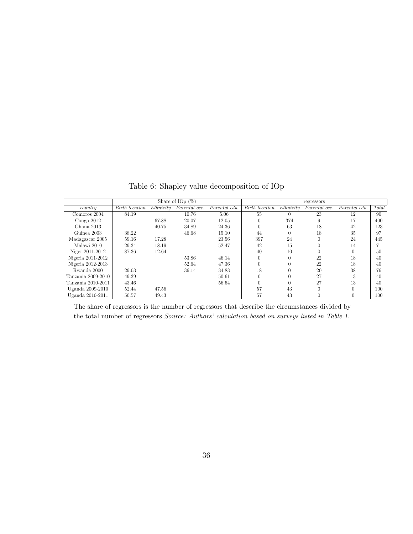<span id="page-36-0"></span>

|                    |                |           | Share of $\overline{IOp}(\%)$ |               |                |           | regressors    |               |       |
|--------------------|----------------|-----------|-------------------------------|---------------|----------------|-----------|---------------|---------------|-------|
| countru            | Birth location | Ethnicity | Parental occ.                 | Parental edu. | Birth location | Ethnicity | Parental occ. | Parental edu. | Total |
| Comoros 2004       | 84.19          |           | 10.76                         | 5.06          | 55             | $\Omega$  | 23            | 12            | 90    |
| Congo $2012$       |                | 67.88     | 20.07                         | 12.05         | $\Omega$       | 374       | 9             | 17            | 400   |
| Ghana 2013         |                | 40.75     | 34.89                         | 24.36         | $\Omega$       | 63        | 18            | 42            | 123   |
| Guinea 2003        | 38.22          |           | 46.68                         | 15.10         | 44             | $\theta$  | 18            | 35            | 97    |
| Madagascar 2005    | 59.16          | 17.28     |                               | 23.56         | 397            | 24        |               | 24            | 445   |
| Malawi 2010        | 29.34          | 18.19     |                               | 52.47         | 42             | 15        |               | 14            | 71    |
| Niger 2011-2012    | 87.36          | 12.64     |                               |               | 40             | 10        |               |               | 50    |
| Nigeria 2011-2012  |                |           | 53.86                         | 46.14         | $\Omega$       | $\theta$  | 22            | 18            | 40    |
| Nigeria 2012-2013  |                |           | 52.64                         | 47.36         |                | $\theta$  | 22            | 18            | 40    |
| Rwanda 2000        | 29.03          |           | 36.14                         | 34.83         | 18             | $\Omega$  | 20            | 38            | 76    |
| Tanzania 2009-2010 | 49.39          |           |                               | 50.61         | $\Omega$       | $\theta$  | 27            | 13            | 40    |
| Tanzania 2010-2011 | 43.46          |           |                               | 56.54         |                | $\theta$  | 27            | 13            | 40    |
| Uganda 2009-2010   | 52.44          | 47.56     |                               |               | 57             | 43        |               |               | 100   |
| Uganda 2010-2011   | 50.57          | 49.43     |                               |               | 57             | 43        |               |               | 100   |

Table 6: Shapley value decomposition of IOp

The share of regressors is the number of regressors that describe the circumstances divided by the total number of regressors *Source: Authors' calculation based on surveys listed in Table 1.*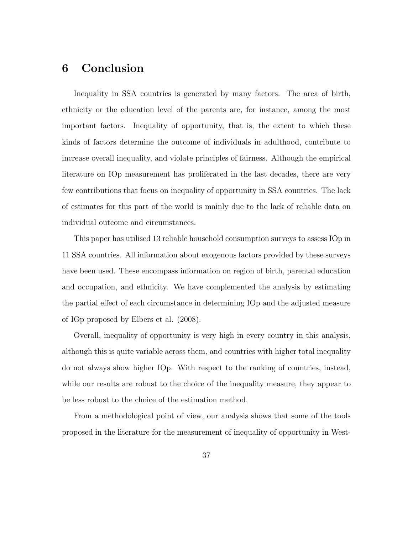## 6 Conclusion

Inequality in SSA countries is generated by many factors. The area of birth, ethnicity or the education level of the parents are, for instance, among the most important factors. Inequality of opportunity, that is, the extent to which these kinds of factors determine the outcome of individuals in adulthood, contribute to increase overall inequality, and violate principles of fairness. Although the empirical literature on IOp measurement has proliferated in the last decades, there are very few contributions that focus on inequality of opportunity in SSA countries. The lack of estimates for this part of the world is mainly due to the lack of reliable data on individual outcome and circumstances.

This paper has utilised 13 reliable household consumption surveys to assess IOp in 11 SSA countries. All information about exogenous factors provided by these surveys have been used. These encompass information on region of birth, parental education and occupation, and ethnicity. We have complemented the analysis by estimating the partial effect of each circumstance in determining IOp and the adjusted measure of IOp proposed by Elbers et al. (2008).

Overall, inequality of opportunity is very high in every country in this analysis, although this is quite variable across them, and countries with higher total inequality do not always show higher IOp. With respect to the ranking of countries, instead, while our results are robust to the choice of the inequality measure, they appear to be less robust to the choice of the estimation method.

From a methodological point of view, our analysis shows that some of the tools proposed in the literature for the measurement of inequality of opportunity in West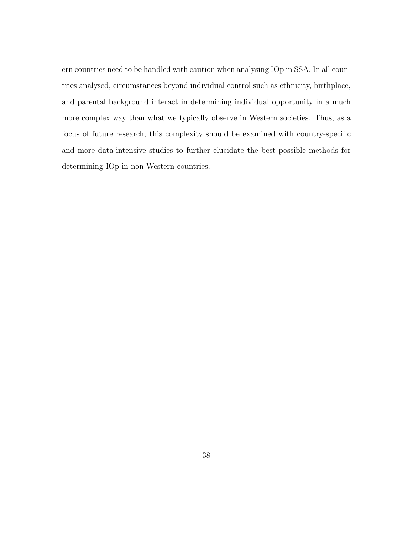ern countries need to be handled with caution when analysing IOp in SSA. In all countries analysed, circumstances beyond individual control such as ethnicity, birthplace, and parental background interact in determining individual opportunity in a much more complex way than what we typically observe in Western societies. Thus, as a focus of future research, this complexity should be examined with country-specific and more data-intensive studies to further elucidate the best possible methods for determining IOp in non-Western countries.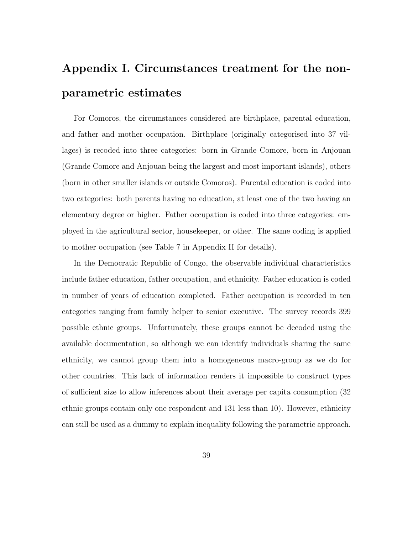# Appendix I. Circumstances treatment for the nonparametric estimates

For Comoros, the circumstances considered are birthplace, parental education, and father and mother occupation. Birthplace (originally categorised into 37 villages) is recoded into three categories: born in Grande Comore, born in Anjouan (Grande Comore and Anjouan being the largest and most important islands), others (born in other smaller islands or outside Comoros). Parental education is coded into two categories: both parents having no education, at least one of the two having an elementary degree or higher. Father occupation is coded into three categories: employed in the agricultural sector, housekeeper, or other. The same coding is applied to mother occupation (see Table [7](#page-44-0) in Appendix II for details).

In the Democratic Republic of Congo, the observable individual characteristics include father education, father occupation, and ethnicity. Father education is coded in number of years of education completed. Father occupation is recorded in ten categories ranging from family helper to senior executive. The survey records 399 possible ethnic groups. Unfortunately, these groups cannot be decoded using the available documentation, so although we can identify individuals sharing the same ethnicity, we cannot group them into a homogeneous macro-group as we do for other countries. This lack of information renders it impossible to construct types of sufficient size to allow inferences about their average per capita consumption  $(32)$ ethnic groups contain only one respondent and 131 less than 10). However, ethnicity can still be used as a dummy to explain inequality following the parametric approach.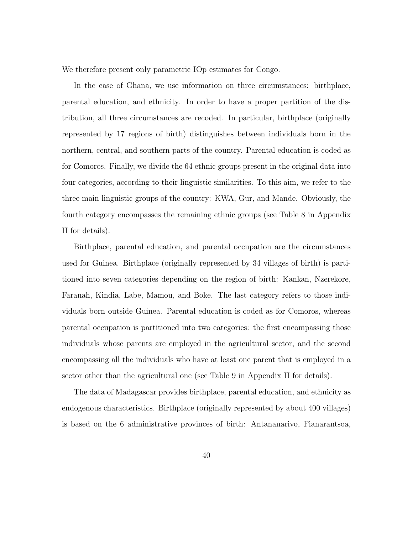We therefore present only parametric IOp estimates for Congo.

In the case of Ghana, we use information on three circumstances: birthplace, parental education, and ethnicity. In order to have a proper partition of the distribution, all three circumstances are recoded. In particular, birthplace (originally represented by 17 regions of birth) distinguishes between individuals born in the northern, central, and southern parts of the country. Parental education is coded as for Comoros. Finally, we divide the 64 ethnic groups present in the original data into four categories, according to their linguistic similarities. To this aim, we refer to the three main linguistic groups of the country: KWA, Gur, and Mande. Obviously, the fourth category encompasses the remaining ethnic groups (see Table [8](#page-45-0) in Appendix II for details).

Birthplace, parental education, and parental occupation are the circumstances used for Guinea. Birthplace (originally represented by 34 villages of birth) is partitioned into seven categories depending on the region of birth: Kankan, Nzerekore, Faranah, Kindia, Labe, Mamou, and Boke. The last category refers to those individuals born outside Guinea. Parental education is coded as for Comoros, whereas parental occupation is partitioned into two categories: the first encompassing those individuals whose parents are employed in the agricultural sector, and the second encompassing all the individuals who have at least one parent that is employed in a sector other than the agricultural one (see Table [9](#page-46-0) in Appendix II for details).

The data of Madagascar provides birthplace, parental education, and ethnicity as endogenous characteristics. Birthplace (originally represented by about 400 villages) is based on the 6 administrative provinces of birth: Antananarivo, Fianarantsoa,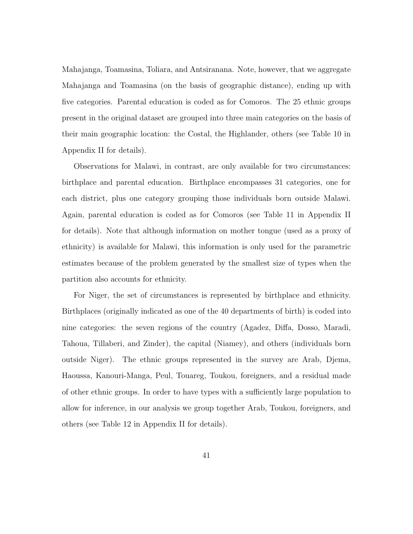Mahajanga, Toamasina, Toliara, and Antsiranana. Note, however, that we aggregate Mahajanga and Toamasina (on the basis of geographic distance), ending up with five categories. Parental education is coded as for Comoros. The 25 ethnic groups present in the original dataset are grouped into three main categories on the basis of their main geographic location: the Costal, the Highlander, others (see Table [10](#page-47-0) in Appendix II for details).

Observations for Malawi, in contrast, are only available for two circumstances: birthplace and parental education. Birthplace encompasses 31 categories, one for each district, plus one category grouping those individuals born outside Malawi. Again, parental education is coded as for Comoros (see Table [11](#page-48-0) in Appendix II for details). Note that although information on mother tongue (used as a proxy of ethnicity) is available for Malawi, this information is only used for the parametric estimates because of the problem generated by the smallest size of types when the partition also accounts for ethnicity.

For Niger, the set of circumstances is represented by birthplace and ethnicity. Birthplaces (originally indicated as one of the 40 departments of birth) is coded into nine categories: the seven regions of the country (Agadez, Diffa, Dosso, Maradi, Tahoua, Tillaberi, and Zinder), the capital (Niamey), and others (individuals born outside Niger). The ethnic groups represented in the survey are Arab, Djema, Haoussa, Kanouri-Manga, Peul, Touareg, Toukou, foreigners, and a residual made of other ethnic groups. In order to have types with a sufficiently large population to allow for inference, in our analysis we group together Arab, Toukou, foreigners, and others (see Table [12](#page-49-0) in Appendix II for details).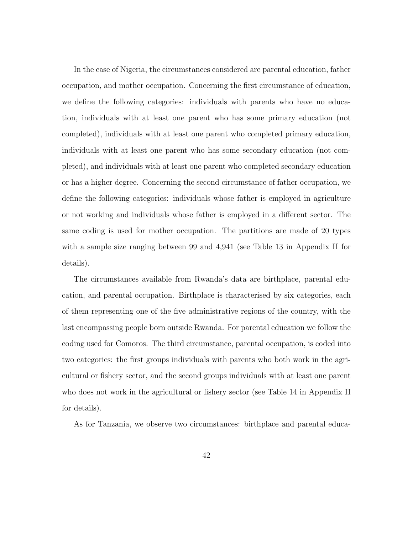In the case of Nigeria, the circumstances considered are parental education, father occupation, and mother occupation. Concerning the first circumstance of education, we define the following categories: individuals with parents who have no education, individuals with at least one parent who has some primary education (not completed), individuals with at least one parent who completed primary education, individuals with at least one parent who has some secondary education (not completed), and individuals with at least one parent who completed secondary education or has a higher degree. Concerning the second circumstance of father occupation, we define the following categories: individuals whose father is employed in agriculture or not working and individuals whose father is employed in a different sector. The same coding is used for mother occupation. The partitions are made of 20 types with a sample size ranging between 99 and 4,941 (see Table [13](#page-50-0) in Appendix II for details).

The circumstances available from Rwanda's data are birthplace, parental education, and parental occupation. Birthplace is characterised by six categories, each of them representing one of the five administrative regions of the country, with the last encompassing people born outside Rwanda. For parental education we follow the coding used for Comoros. The third circumstance, parental occupation, is coded into two categories: the first groups individuals with parents who both work in the agricultural or fishery sector, and the second groups individuals with at least one parent who does not work in the agricultural or fishery sector (see Table [14](#page-51-0) in Appendix II for details).

As for Tanzania, we observe two circumstances: birthplace and parental educa-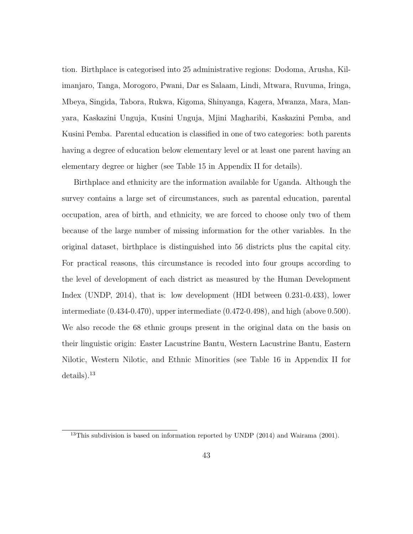tion. Birthplace is categorised into 25 administrative regions: Dodoma, Arusha, Kilimanjaro, Tanga, Morogoro, Pwani, Dar es Salaam, Lindi, Mtwara, Ruvuma, Iringa, Mbeya, Singida, Tabora, Rukwa, Kigoma, Shinyanga, Kagera, Mwanza, Mara, Manyara, Kaskazini Unguja, Kusini Unguja, Mjini Magharibi, Kaskazini Pemba, and Kusini Pemba. Parental education is classified in one of two categories: both parents having a degree of education below elementary level or at least one parent having an elementary degree or higher (see Table [15](#page-52-0) in Appendix II for details).

Birthplace and ethnicity are the information available for Uganda. Although the survey contains a large set of circumstances, such as parental education, parental occupation, area of birth, and ethnicity, we are forced to choose only two of them because of the large number of missing information for the other variables. In the original dataset, birthplace is distinguished into 56 districts plus the capital city. For practical reasons, this circumstance is recoded into four groups according to the level of development of each district as measured by the Human Development Index (UNDP, 2014), that is: low development (HDI between 0.231-0.433), lower intermediate (0.434-0.470), upper intermediate (0.472-0.498), and high (above 0.500). We also recode the 68 ethnic groups present in the original data on the basis on their linguistic origin: Easter Lacustrine Bantu, Western Lacustrine Bantu, Eastern Nilotic, Western Nilotic, and Ethnic Minorities (see Table [16](#page-53-0) in Appendix II for  $deta$ ils).<sup>[13](#page-1-0)</sup>

 $13$ This subdivision is based on information reported by UNDP (2014) and Wairama (2001).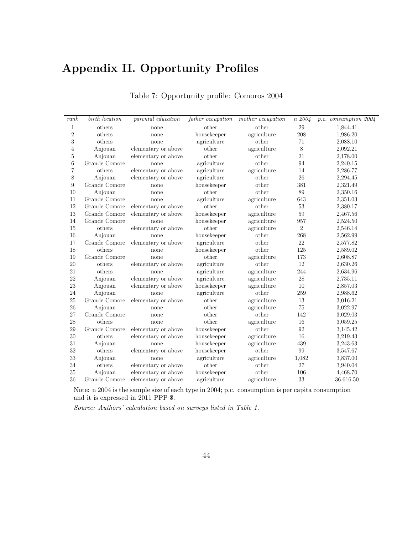## <span id="page-44-0"></span>Appendix II. Opportunity Profiles

| rank             | birth location | parental education  | father occupation | $mother$ $occupation$ | $n \ 2004$     | p.c. consumption 2004 |
|------------------|----------------|---------------------|-------------------|-----------------------|----------------|-----------------------|
| 1                | others         | none                | other             | other                 | 29             | 1,844.41              |
| $\sqrt{2}$       | others         | none                | housekeeper       | agriculture           | 208            | 1,986.20              |
| $\overline{3}$   | others         | none                | agriculture       | other                 | 71             | 2,088.10              |
| $\,4\,$          | Anjouan        | elementary or above | other             | agriculture           | 8              | 2,092.21              |
| $\rm 5$          | Anjouan        | elementary or above | other             | other                 | 21             | 2,178.00              |
| $\,6$            | Grande Comore  | none                | agriculture       | other                 | 94             | 2,240.15              |
| $\overline{7}$   | others         | elementary or above | agriculture       | agriculture           | 14             | 2,286.77              |
| $8\,$            | Anjouan        | elementary or above | agriculture       | other                 | 26             | 2,294.45              |
| $\boldsymbol{9}$ | Grande Comore  | none                | housekeeper       | other                 | 381            | 2,321.49              |
| 10               | Anjouan        | none                | other             | other                 | 89             | 2,350.16              |
| 11               | Grande Comore  | none                | agriculture       | agriculture           | 643            | 2,351.03              |
| 12               | Grande Comore  | elementary or above | other             | other                 | $53\,$         | 2,380.17              |
| 13               | Grande Comore  | elementary or above | housekeeper       | agriculture           | 59             | 2,467.56              |
| 14               | Grande Comore  | none                | housekeeper       | agriculture           | 957            | 2,524.50              |
| 15               | others         | elementary or above | other             | agriculture           | $\overline{2}$ | 2,546.14              |
| 16               | Anjouan        | none                | housekeeper       | other                 | 268            | 2,562.99              |
| 17               | Grande Comore  | elementary or above | agriculture       | other                 | $22\,$         | 2,577.82              |
| 18               | others         | none                | housekeeper       | other                 | 125            | 2,589.02              |
| 19               | Grande Comore  | none                | other             | agriculture           | 173            | 2,608.87              |
| 20               | others         | elementary or above | agriculture       | other                 | 12             | 2,630.26              |
| 21               | others         | none                | agriculture       | agriculture           | 244            | 2,634.96              |
| 22               | Anjouan        | elementary or above | agriculture       | agriculture           | 28             | 2,735.11              |
| 23               | Anjouan        | elementary or above | housekeeper       | agriculture           | 10             | 2,857.03              |
| 24               | Anjouan        | none                | agriculture       | other                 | 259            | 2,988.62              |
| 25               | Grande Comore  | elementary or above | other             | agriculture           | 13             | 3,016.21              |
| 26               | Anjouan        | none                | other             | agriculture           | $75\,$         | 3,022.97              |
| 27               | Grande Comore  | none                | other             | other                 | 142            | 3,029.03              |
| 28               | others         | none                | other             | agriculture           | 16             | 3,059.25              |
| $\,29$           | Grande Comore  | elementary or above | housekeeper       | other                 | 92             | 3,145.42              |
| 30               | others         | elementary or above | housekeeper       | agriculture           | 16             | 3,219.43              |
| 31               | Anjouan        | none                | housekeeper       | agriculture           | 439            | 3,243.63              |
| 32               | others         | elementary or above | housekeeper       | other                 | 99             | 3,547.67              |
| 33               | Anjouan        | none                | agriculture       | agriculture           | 1,082          | 3,837.00              |
| 34               | others         | elementary or above | other             | other                 | 27             | 3,940.04              |
| 35               | Anjouan        | elementary or above | housekeeper       | other                 | 106            | 4,468.70              |
| 36               | Grande Comore  | elementary or above | agriculture       | agriculture           | 33             | 36,616.50             |

#### Table 7: Opportunity profile: Comoros 2004

Note: n 2004 is the sample size of each type in 2004; p.c. consumption is per capita consumption and it is expressed in 2011 PPP \$.

*Source: Authors' calculation based on surveys listed in Table 1.*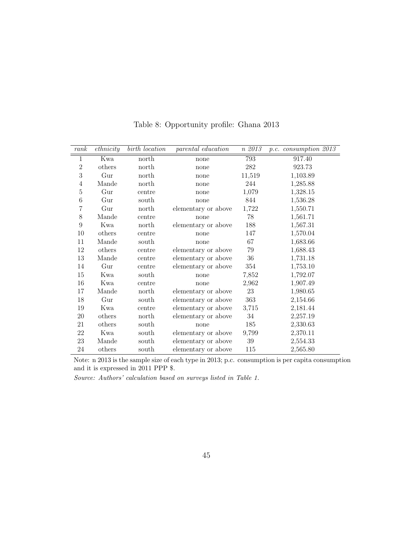<span id="page-45-0"></span>

| rank           | $\mathit{ethnicity}$ | birth location | parental education  | n 2013 | p.c. consumption 2013 |
|----------------|----------------------|----------------|---------------------|--------|-----------------------|
| 1              | Kwa                  | north          | none                | 793    | 917.40                |
| $\overline{2}$ | others               | north          | none                | 282    | 923.73                |
| 3              | Gur                  | north          | none                | 11,519 | 1,103.89              |
| $\overline{4}$ | Mande                | north          | none                | 244    | 1,285.88              |
| $\overline{5}$ | Gur                  | centre         | none                | 1,079  | 1,328.15              |
| $\!6\,$        | Gur                  | south          | none                | 844    | 1,536.28              |
| 7              | Gur                  | north          | elementary or above | 1,722  | 1,550.71              |
| 8              | Mande                | centre         | none                | 78     | 1,561.71              |
| 9              | Kwa                  | north          | elementary or above | 188    | 1,567.31              |
| $10\,$         | others               | centre         | none                | 147    | 1,570.04              |
| 11             | Mande                | south          | none                | 67     | 1,683.66              |
| 12             | others               | centre         | elementary or above | 79     | 1,688.43              |
| 13             | Mande                | centre         | elementary or above | $36\,$ | 1,731.18              |
| 14             | Gur                  | centre         | elementary or above | 354    | 1,753.10              |
| 15             | Kwa                  | south          | none                | 7,852  | 1,792.07              |
| 16             | Kwa                  | centre         | none                | 2,962  | 1,907.49              |
| 17             | Mande                | north          | elementary or above | 23     | 1,980.65              |
| 18             | Gur                  | south          | elementary or above | 363    | 2,154.66              |
| 19             | Kwa                  | centre         | elementary or above | 3,715  | 2,181.44              |
| 20             | others               | north          | elementary or above | 34     | 2,257.19              |
| 21             | others               | south          | none                | 185    | 2,330.63              |
| 22             | Kwa                  | south          | elementary or above | 9,799  | 2,370.11              |
| 23             | Mande                | south          | elementary or above | $39\,$ | 2,554.33              |
| 24             | others               | south          | elementary or above | 115    | 2,565.80              |

Table 8: Opportunity profile: Ghana 2013

Note: n 2013 is the sample size of each type in 2013; p.c. consumption is per capita consumption and it is expressed in 2011 PPP \$.

*Source: Authors' calculation based on surveys listed in Table 1.*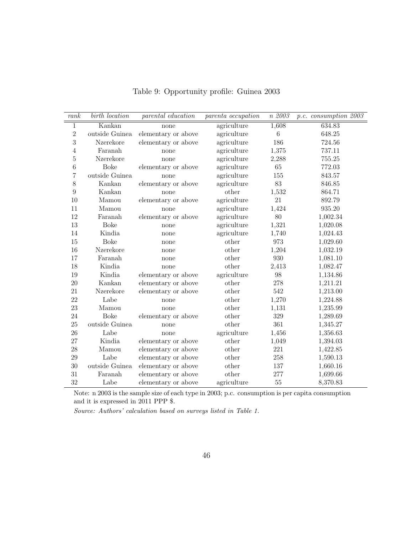<span id="page-46-0"></span>

| rank           | birth location | parental education  | parenta occupation | n 2003 | p.c. consumption 2003 |
|----------------|----------------|---------------------|--------------------|--------|-----------------------|
| $\mathbf{1}$   | Kankan         | none                | agriculture        | 1,608  | 634.83                |
| $\overline{2}$ | outside Guinea | elementary or above | agriculture        | 6      | 648.25                |
| 3              | Nzerekore      | elementary or above | agriculture        | 186    | 724.56                |
| 4              | Faranah        | none                | agriculture        | 1,375  | 737.11                |
| 5              | Nzerekore      | none                | agriculture        | 2,288  | $755.25\,$            |
| 6              | <b>Boke</b>    | elementary or above | agriculture        | 65     | 772.03                |
| 7              | outside Guinea | none                | agriculture        | 155    | 843.57                |
| $8\,$          | Kankan         | elementary or above | agriculture        | 83     | 846.85                |
| 9              | Kankan         | none                | other              | 1,532  | 864.71                |
| 10             | Mamou          | elementary or above | agriculture        | 21     | 892.79                |
| 11             | Mamou          | none                | agriculture        | 1,424  | 935.20                |
| 12             | Faranah        | elementary or above | agriculture        | 80     | 1,002.34              |
| 13             | <b>Boke</b>    | none                | agriculture        | 1,321  | 1,020.08              |
| 14             | Kindia         | none                | agriculture        | 1,740  | 1,024.43              |
| 15             | <b>Boke</b>    | none                | other              | 973    | 1,029.60              |
| 16             | Nzerekore      | none                | other              | 1,204  | 1,032.19              |
| 17             | Faranah        | none                | other              | 930    | 1,081.10              |
| 18             | Kindia         | none                | other              | 2,413  | 1,082.47              |
| 19             | Kindia         | elementary or above | agriculture        | 98     | 1,134.86              |
| $20\,$         | Kankan         | elementary or above | other              | 278    | 1,211.21              |
| 21             | Nzerekore      | elementary or above | other              | 542    | 1,213.00              |
| 22             | Labe           | none                | other              | 1,270  | 1,224.88              |
| 23             | Mamou          | none                | other              | 1,131  | 1,235.99              |
| 24             | <b>Boke</b>    | elementary or above | other              | 329    | 1,289.69              |
| $25\,$         | outside Guinea | none                | other              | 361    | 1,345.27              |
| 26             | Labe           | none                | agriculture        | 1,456  | 1,356.63              |
| 27             | Kindia         | elementary or above | other              | 1,049  | 1,394.03              |
| $28\,$         | Mamou          | elementary or above | other              | 221    | 1,422.85              |
| $29\,$         | Labe           | elementary or above | other              | 258    | 1,590.13              |
| $30\,$         | outside Guinea | elementary or above | other              | 137    | 1,660.16              |
| 31             | Faranah        | elementary or above | other              | 277    | 1,699.66              |
| $32\,$         | Labe           | elementary or above | agriculture        | $55\,$ | 8,370.83              |

Table 9: Opportunity profile: Guinea 2003

Note: n 2003 is the sample size of each type in 2003; p.c. consumption is per capita consumption and it is expressed in 2011 PPP \$.

*Source: Authors' calculation based on surveys listed in Table 1.*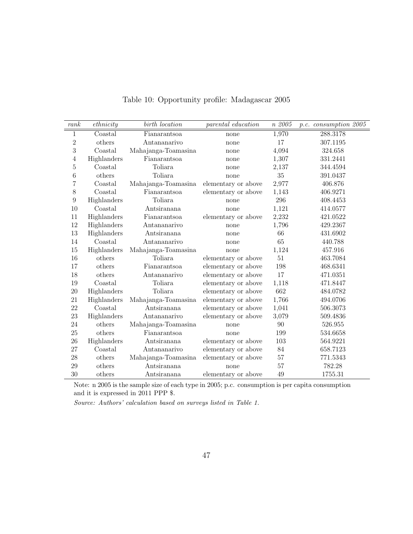<span id="page-47-0"></span>

| rank           | $\mathit{ethnicity}$ | birth location      | parental education  | n 2005 | $p.c.$ consumption $2005$ |
|----------------|----------------------|---------------------|---------------------|--------|---------------------------|
| $\mathbf{1}$   | Coastal              | Fianarantsoa        | none                | 1,970  | 288.3178                  |
| $\overline{2}$ | others               | Antananarivo        | none                | 17     | 307.1195                  |
| 3              | Coastal              | Mahajanga-Toamasina | none                | 4,094  | 324.658                   |
| 4              | Highlanders          | Fianarantsoa        | none                | 1,307  | 331.2441                  |
| 5              | Coastal              | Toliara             | none                | 2,137  | 344.4594                  |
| 6              | others               | Toliara             | none                | 35     | 391.0437                  |
| 7              | Coastal              | Mahajanga-Toamasina | elementary or above | 2,977  | 406.876                   |
| 8              | Coastal              | Fianarantsoa        | elementary or above | 1,143  | 406.9271                  |
| 9              | Highlanders          | Toliara             | none                | 296    | 408.4453                  |
| 10             | Coastal              | Antsiranana         | none                | 1,121  | 414.0577                  |
| 11             | Highlanders          | Fianarantsoa        | elementary or above | 2,232  | 421.0522                  |
| 12             | Highlanders          | Antananarivo        | none                | 1,796  | 429.2367                  |
| 13             | Highlanders          | Antsiranana         | none                | 66     | 431.6902                  |
| 14             | Coastal              | Antananarivo        | none                | 65     | 440.788                   |
| 15             | Highlanders          | Mahajanga-Toamasina | none                | 1,124  | 457.916                   |
| 16             | others               | Toliara             | elementary or above | 51     | 463.7084                  |
| 17             | others               | Fianarantsoa        | elementary or above | 198    | 468.6341                  |
| 18             | others               | Antananarivo        | elementary or above | 17     | 471.0351                  |
| 19             | Coastal              | Toliara             | elementary or above | 1,118  | 471.8447                  |
| 20             | Highlanders          | Toliara             | elementary or above | 662    | 484.0782                  |
| 21             | Highlanders          | Mahajanga-Toamasina | elementary or above | 1,766  | 494.0706                  |
| 22             | Coastal              | Antsiranana         | elementary or above | 1,041  | 506.3073                  |
| 23             | Highlanders          | Antananarivo        | elementary or above | 3,079  | 509.4836                  |
| 24             | others               | Mahajanga-Toamasina | none                | 90     | 526.955                   |
| 25             | others               | Fianarantsoa        | none                | 199    | 534.6658                  |
| 26             | Highlanders          | Antsiranana         | elementary or above | 103    | 564.9221                  |
| 27             | Coastal              | Antananarivo        | elementary or above | 84     | 658.7123                  |
| 28             | others               | Mahajanga-Toamasina | elementary or above | 57     | 771.5343                  |
| 29             | others               | Antsiranana         | none                | 57     | 782.28                    |
| 30             | others               | Antsiranana         | elementary or above | 49     | 1755.31                   |

Table 10: Opportunity profile: Madagascar 2005

Note: n 2005 is the sample size of each type in 2005; p.c. consumption is per capita consumption and it is expressed in 2011 PPP \$.

*Source: Authors' calculation based on surveys listed in Table 1.*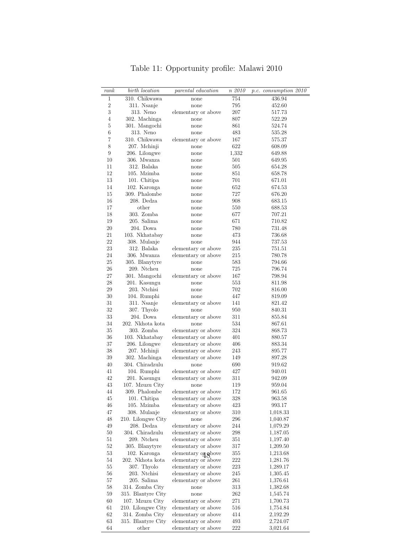<span id="page-48-0"></span>

| rank           | birth location                   | parental education          | n 2010     | p.c. consumption 2010 |
|----------------|----------------------------------|-----------------------------|------------|-----------------------|
| 1              | 310. Chikwawa                    | none                        | 754        | 436.94                |
| $\overline{2}$ | 311. Nsanje                      | none                        | 795        | 452.60                |
| 3              | 313. Neno                        | elementary or above         | 207        | 517.73                |
| 4              | 302. Machinga                    | none                        | 807        | 522.29                |
| 5              | 301. Mangochi                    | none                        | 861        | 524.74                |
| 6              | 313. Neno                        | none                        | 483        | 535.28                |
| 7              | 310. Chikwawa                    | elementary or above         | 167        | 575.37                |
| 8              | 207. Mchinji                     | none                        | 622        | 608.09                |
| 9              | 206. Lilongwe                    | none                        | 1,332      | 649.88                |
| 10             | 306. Mwanza                      | none                        | 501        | 649.95                |
| 11             | 312. Balaka                      | none                        | 505        | 654.28                |
| 12             | 105. Mzimba                      | none                        | 851        | 658.78                |
| 13             | 101. Chitipa                     | none                        | 701        | 671.01                |
| 14             | 102. Karonga                     | none                        | 652        | 674.53                |
| 15             | 309. Phalombe                    | none                        | 727        | 676.20                |
| 16             | 208. Dedza                       | none                        | 908        | 683.15                |
| 17             | other                            | none                        | 550        | 688.53                |
| 18             | 303. Zomba                       | none                        | 677        | 707.21                |
| 19             | 205. Salima                      | none                        | 671        | 710.82                |
| 20<br>21       | 204. Dowa                        | none                        | 780<br>473 | 731.48                |
| 22             | 103. Nkhatabay<br>308. Mulanje   | none<br>none                | 944        | 736.68<br>737.53      |
| 23             | 312. Balaka                      | elementary or above         | 235        | 751.51                |
| 24             | 306. Mwanza                      | elementary or above         | 215        | 780.78                |
| 25             | 305. Blanytyre                   | none                        | 583        | 794.66                |
| 26             | 209. Ntcheu                      | none                        | 725        | 796.74                |
| 27             | 301. Mangochi                    | elementary or above         | 167        | 798.94                |
| 28             | 201. Kasungu                     | none                        | 553        | 811.98                |
| 29             | 203. Ntchisi                     | none                        | 702        | 816.00                |
| 30             | 104. Rumphi                      | none                        | 447        | 819.09                |
| 31             | 311. Nsanje                      | elementary or above         | 141        | 821.42                |
| 32             | 307. Thyolo                      | none                        | 950        | 840.31                |
| 33             | 204. Dowa                        | elementary or above         | 311        | 855.84                |
| 34             | 202. Nkhota kota                 | none                        | 534        | 867.61                |
| 35             | 303. Zomba                       | elementary or above         | 324        | 868.73                |
| 36             | 103. Nkhatabay                   | elementary or above         | 401        | 880.57                |
| 37             | 206. Lilongwe                    | elementary or above         | 406        | 883.34                |
| 38             | 207. Mchinji                     | elementary or above         | 243        | 895.77                |
| 39             | 302. Machinga                    | elementary or above         | 149        | 897.28                |
| 40             | 304. Chiradzulu                  | none                        | 690        | 919.62                |
| 41             | 104. Rumphi                      | elementary or above         | 427        | 940.01                |
| 42             | 201. Kasungu                     | elementary or above         | 311        | 942.09                |
| 43             | 107. Mzuzu City                  | none                        | 119        | 959.04                |
| 44             | 309. Phalombe                    | elementary or above         | 172        | 961.65                |
| 45             | 101. Chitipa                     | elementary or above         | 328        | 963.58                |
| $\sqrt{46}$    | 105. Mzimba                      | elementary or above         | 423        | 993.17                |
| 47<br>48       | 308. Mulanje                     | elementary or above         | 310        | 1,018.33              |
| 49             | 210. Lilongwe City<br>208. Dedza | none<br>elementary or above | 296        | 1,040.87              |
| $50\,$         | 304. Chiradzulu                  | elementary or above         | 244<br>298 | 1,079.29<br>1,187.05  |
| $51\,$         | 209. Ntcheu                      | elementary or above         | 351        | 1,197.40              |
| 52             | 305. Blanytyre                   | elementary or above         | 317        | 1,209.50              |
| 53             | 102. Karonga                     | elementary of above         | 355        | 1,213.68              |
| 54             | 202. Nkhota kota                 | elementary or above         | 222        | 1,281.76              |
| 55             | 307. Thyolo                      | elementary or above         | 223        | 1,289.17              |
| 56             | 203. Ntchisi                     | elementary or above         | 245        | 1,305.45              |
| $57\,$         | $205. \text{ Salima}$            | elementary or above         | 261        | 1,376.61              |
| 58             | 314. Zomba City                  | none                        | 313        | 1,382.68              |
| 59             | 315. Blantyre City               | none                        | 262        | 1,545.74              |
| 60             | 107. Mzuzu City                  | elementary or above         | 271        | 1,700.73              |
| 61             | 210. Lilongwe City               | elementary or above         | 516        | 1,754.84              |
| 62             | 314. Zomba City                  | elementary or above         | 414        | 2,192.29              |
| 63             | 315. Blantyre City               | elementary or above         | 493        | 2,724.07              |
| 64             | other                            | elementary or above         | 222        | 3,021.64              |

Table 11: Opportunity profile: Malawi 2010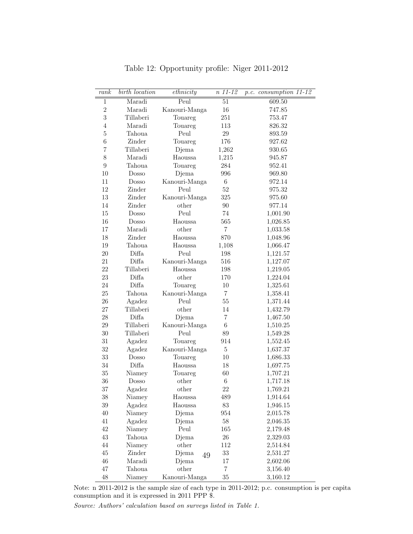<span id="page-49-0"></span>

| rank             | birth location | $\mathit{ethnicity}$ | $n\overline{11-12}$ | p.c. consumption 11-12 |
|------------------|----------------|----------------------|---------------------|------------------------|
| $\,1$            | Maradi         | Peul                 | 51                  | 609.50                 |
| $\sqrt{2}$       | Maradi         | Kanouri-Manga        | $16\,$              | 747.85                 |
| 3                | Tillaberi      | Touareg              | $251\,$             | 753.47                 |
| $\overline{4}$   | Maradi         | Touareg              | 113                 | 826.32                 |
| $\overline{5}$   | Tahoua         | Peul                 | $29\,$              | 893.59                 |
| $\,6$            | Zinder         | Touareg              | 176                 | 927.62                 |
| $\overline{7}$   | Tillaberi      | Djema                | 1,262               | 930.65                 |
| 8                | Maradi         | Haoussa              | 1,215               | 945.87                 |
| $\boldsymbol{9}$ | Tahoua         | Touareg              | 284                 | 952.41                 |
| 10               | Dosso          | Djema                | 996                 | 969.80                 |
| 11               | Dosso          | Kanouri-Manga        | $\,6\,$             | 972.14                 |
| 12               | Zinder         | Peul                 | $52\,$              | $\bf{975.32}$          |
| $13\,$           | Zinder         | Kanouri-Manga        | 325                 | 975.60                 |
| 14               | Zinder         | other                | $90\,$              | 977.14                 |
| 15               | Dosso          | Peul                 | 74                  | 1,001.90               |
| 16               | Dosso          | Haoussa              | 565                 | 1,026.85               |
| 17               | Maradi         | other                | 7                   | 1,033.58               |
| 18               | Zinder         | Haoussa              | 870                 | 1,048.96               |
| 19               | Tahoua         | Haoussa              | 1,108               | 1,066.47               |
| $20\,$           | Diffa          | Peul                 | 198                 | 1,121.57               |
| 21               | Diffa          | Kanouri-Manga        | 516                 | 1,127.07               |
| 22               | Tillaberi      | Haoussa              | 198                 | 1,219.05               |
| 23               | Diffa          | other                | 170                 | 1,224.04               |
| 24               | Diffa          | Touareg              | 10                  | 1,325.61               |
| 25               | Tahoua         | Kanouri-Manga        | 7                   | 1,358.41               |
| $26\,$           | Agadez         | Peul                 | 55                  | 1,371.44               |
| $27\,$           | Tillaberi      | other                | 14                  | 1,432.79               |
| $28\,$           | Diffa          | Djema                | 7                   | 1,467.50               |
| $29\,$           | Tillaberi      | Kanouri-Manga        | $\boldsymbol{6}$    | 1,510.25               |
| $30\,$           | Tillaberi      | Peul                 | $89\,$              | 1,549.28               |
| $31\,$           | Agadez         | Touareg              | 914                 | 1,552.45               |
| $32\,$           | Agadez         | Kanouri-Manga        | $\bf 5$             | 1,637.37               |
| $33\,$           | Dosso          | Touareg              | 10                  | 1,686.33               |
| $34\,$           | Diffa          | Haoussa              | 18                  | 1,697.75               |
| $35\,$           | Niamey         | Touareg              | 60                  | 1,707.21               |
| 36               | Dosso          | other                | $\boldsymbol{6}$    | 1,717.18               |
| $37\,$           | Agadez         | other                | $22\,$              | 1,769.21               |
| $38\,$           | Niamey         | Haoussa              | 489                 | 1,914.64               |
| $39\,$           | Agadez         | Haoussa              | $83\,$              | 1,946.15               |
| $40\,$           | Niamey         | Djema                | 954                 | 2,015.78               |
| $41\,$           | Agadez         | Djema                | $58\,$              | 2,046.35               |
| 42               | Niamey         | Peul                 | 165                 | 2,179.48               |
| 43               | Tahoua         | Djema                | $26\,$              | 2,329.03               |
| $44\,$           | Niamey         | other                | 112                 | 2,514.84               |
| 45               | Zinder         | Djema<br>49          | $33\,$              | 2,531.27               |
| $46\,$           | Maradi         | Djema                | 17                  | 2,602.06               |
| $47\,$           | Tahoua         | other                | 7                   | 3,156.40               |
| $48\,$           | Niamey         | Kanouri-Manga        | 35                  | 3,160.12               |

Table 12: Opportunity profile: Niger 2011-2012

Note: n 2011-2012 is the sample size of each type in 2011-2012; p.c. consumption is per capita consumption and it is expressed in 2011 PPP \$.

*Source: Authors' calculation based on surveys listed in Table 1.*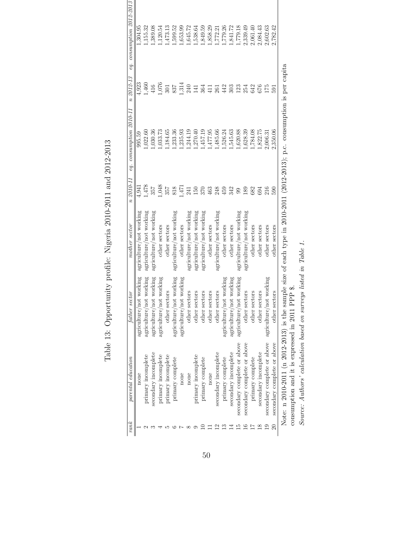<span id="page-50-0"></span>

| eq. consumption $2012 - 2013$ | ,304.95                 | ,155.32                 | ,389.08                 | ,120.54                 | ,473.13            | .,599.52                | .653.99                 | .645.72                 | ,538.64                 | ,849.59                 | ,858.29       | .772.21                 | ,779.26                 | ,841.72                 | .779.18                     | 2,339.49                    | 2,061.40         | 2,084.43             | 2,602.63                                            | 2,782.42                    |                                                                                                                          |
|-------------------------------|-------------------------|-------------------------|-------------------------|-------------------------|--------------------|-------------------------|-------------------------|-------------------------|-------------------------|-------------------------|---------------|-------------------------|-------------------------|-------------------------|-----------------------------|-----------------------------|------------------|----------------------|-----------------------------------------------------|-----------------------------|--------------------------------------------------------------------------------------------------------------------------|
| n 2012-13                     | 4,923                   | 1,460                   | 416                     | 1,076                   | 301                | 837                     | 1,314                   | 240                     | 141                     | 364                     | 411           | 261                     | 442                     | 303                     | 123                         | 254                         | 642              | 676                  | 175                                                 | 591                         |                                                                                                                          |
| eq. consumption 2010-11       | 995.59                  | ,022.60                 | ,030.36                 | ,033.73                 | ,184.65            | 1,233.36                | .235.93                 | 1,244.19                | .270.40                 | .457.19                 | .477.95       | 1,485.66                | .526.24                 | .,545.63                | $-.620.88$                  | ,628.39                     | ,784.08          | .822.75              | 2,006.31                                            | 2,350.06                    |                                                                                                                          |
| n 2010-11                     | 4,941                   | 1,478                   | 357                     | 1,048                   | 357                | 818                     | 1,471                   | 241                     | 150                     |                         | 463           | 248                     | 459                     | 342                     | 99                          | 189                         | 582              | 694                  | 216                                                 | 590                         |                                                                                                                          |
| mother sector                 | agriculture/not working | agriculture/not working | agriculture/not working | other sectors           | other sectors      | agriculture/not working | other sectors           | agriculture/not working | agriculture/not working | agriculture/not working | other sectors | agriculture/not working | other sectors           | other sectors           | agriculture/not working     | agriculture/not working     | other sectors    | other sectors        | other sectors                                       | other sectors               |                                                                                                                          |
| father sector                 | agriculture/not working | agriculture/not working | agriculture/not working | agriculture/not working | other sectors      | agriculture/not working | agriculture/not working | other sectors           | other sectors           | other sectors           | other sectors | other sectors           | agriculture/not working | agriculture/not working | agriculture/not working     | other sectors               | other sectors    | other sectors        |                                                     | other sectors               |                                                                                                                          |
| parental education            | none                    | primary incomplete      | secondary incomplete    | primary incomplete      | primary incomplete | primary complete        | none                    | none                    | primary incomplete      | primary complete        | none          | secondary incomplete    | primary complete        | secondary incomplete    | secondary complete or above | secondary complete or above | primary complete | secondary incomplete | secondary complete or above agriculture/not working | secondary complete or above | Note: n 2010-2011 (n 2012-2013) is the sample size of each type in 2010-2011 (2012-2013); p.c. consumption is per capita |
| rank                          |                         |                         |                         |                         |                    |                         |                         |                         |                         |                         |               |                         |                         |                         |                             |                             |                  |                      |                                                     |                             |                                                                                                                          |

Table 13: Opportunity profile: Nigeria 2010-2011 and 2012-2013 Table 13: Opportunity profile: Nigeria 2010-2011 and 2012-2013

50

consumption and it is expressed in 2011 PPP  $\$$ consumption and it is expressed in 2011 PPP \$.

Source: Authors' calculation based on surveys listed in Table 1. *Source: Authors' calculation based on surveys listed in Table 1.*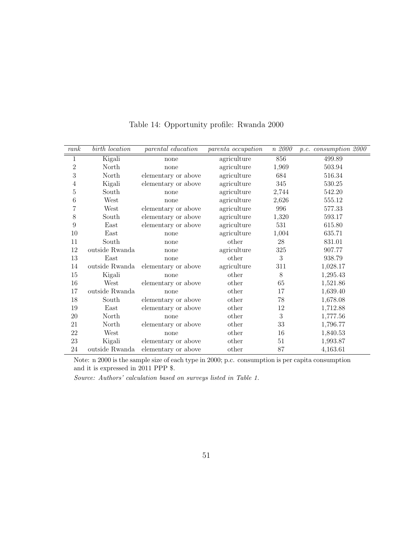<span id="page-51-0"></span>

| rank           | birth location | parental education  | parenta occupation | n 2000 | p.c. consumption 2000 |
|----------------|----------------|---------------------|--------------------|--------|-----------------------|
| 1              | Kigali         | none                | agriculture        | 856    | 499.89                |
| $\overline{2}$ | North          | none                | agriculture        | 1,969  | 503.94                |
| 3              | North          | elementary or above | agriculture        | 684    | 516.34                |
| $\overline{4}$ | Kigali         | elementary or above | agriculture        | 345    | 530.25                |
| $\overline{5}$ | South          | none                | agriculture        | 2,744  | 542.20                |
| $\,6$          | West           | none                | agriculture        | 2,626  | 555.12                |
| $\overline{7}$ | West           | elementary or above | agriculture        | 996    | 577.33                |
| 8              | South          | elementary or above | agriculture        | 1,320  | 593.17                |
| $\overline{9}$ | East           | elementary or above | agriculture        | 531    | 615.80                |
| 10             | East           | none                | agriculture        | 1,004  | 635.71                |
| 11             | South          | none                | other              | $28\,$ | 831.01                |
| 12             | outside Rwanda | none                | agriculture        | 325    | 907.77                |
| 13             | East           | none                | other              | 3      | 938.79                |
| 14             | outside Rwanda | elementary or above | agriculture        | 311    | 1,028.17              |
| 15             | Kigali         | none                | other              | 8      | 1,295.43              |
| 16             | West           | elementary or above | other              | 65     | 1,521.86              |
| 17             | outside Rwanda | none                | other              | 17     | 1,639.40              |
| 18             | South          | elementary or above | other              | $78\,$ | 1,678.08              |
| $19\,$         | East           | elementary or above | other              | 12     | 1,712.88              |
| $20\,$         | North          | none                | other              | 3      | 1,777.56              |
| 21             | North          | elementary or above | other              | 33     | 1,796.77              |
| $22\,$         | West           | none                | other              | 16     | 1,840.53              |
| $23\,$         | Kigali         | elementary or above | other              | $51\,$ | 1,993.87              |
| 24             | outside Rwanda | elementary or above | other              | 87     | 4,163.61              |

Table 14: Opportunity profile: Rwanda 2000

Note: n 2000 is the sample size of each type in 2000; p.c. consumption is per capita consumption and it is expressed in 2011 PPP \$.

*Source: Authors' calculation based on surveys listed in Table 1.*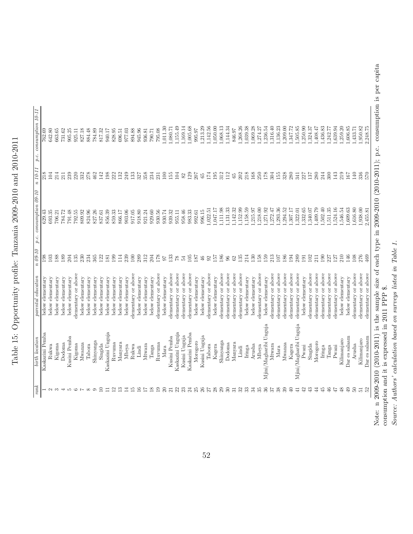| 1                                      |
|----------------------------------------|
| l                                      |
| l                                      |
| $\overline{a}$<br>ı                    |
|                                        |
| ı                                      |
| ¢                                      |
| $\overline{\phantom{a}}$<br>ı          |
| Ï                                      |
| į                                      |
|                                        |
| J                                      |
| $\frac{1}{1}$<br>l                     |
|                                        |
|                                        |
| ı<br>١                                 |
| con co                                 |
|                                        |
|                                        |
|                                        |
| くうくいこう<br>ı                            |
| ı                                      |
|                                        |
|                                        |
| l                                      |
| Ì                                      |
| F<br>I                                 |
|                                        |
| $\frac{1}{2}$<br>į                     |
| l<br>Ï                                 |
|                                        |
| こうこうしょう                                |
| I                                      |
|                                        |
|                                        |
|                                        |
| 4                                      |
|                                        |
|                                        |
|                                        |
|                                        |
|                                        |
| ľ                                      |
| j                                      |
| J<br>$\overline{\phantom{a}}$          |
|                                        |
| J<br>ı                                 |
| $\overline{\phantom{a}}$<br>ľ          |
|                                        |
| l<br>ı                                 |
| l                                      |
| Į<br>.<br> <br> <br>$\frac{1}{2}$<br>l |

<span id="page-52-0"></span>

| Kaskazini Pemba        | below elementary    | 198        | $p.c.$ consumption $09-10$<br>629.43 | 218    | consumption 10-11<br>762.69<br>p.c. |
|------------------------|---------------------|------------|--------------------------------------|--------|-------------------------------------|
| Rukwa                  | below elementary    | 103        | 693.35                               | 104    | 642.80                              |
| Kigoma                 | below elementary    | 88         | 706.21                               | 214    | 663.65                              |
| Dodoma                 | below elementary    | 189        | 784.72                               | 211    | 731.62                              |
| Kusini Pemba           | below elementary    | 204        | 791.48                               | 239    | 905.25                              |
| Kigoma                 | elementary or above | 135        | 792.55                               | 220    | 925.11                              |
| Mwanza                 | below elementary    | 230        | 809.92                               | 332    | 827.18                              |
| Tabora                 | below elementary    | 234        | 824.96                               | 278    | 884.48                              |
| Shinyanga              | below elementary    | 365        | 827.26                               | 462    | 784.89                              |
| Singida                | below elementary    | 122        | 837.61                               | 142    | 817.32                              |
| Kaskazini Unguja       | below elementary    | 181        | 856.39                               | 198    | 940.17                              |
| Ruvuma                 | below elementary    | 199        | 859.33                               | 222    | 828.95                              |
| Manyara                | below elementary    | 114        | 866.17                               | 132    | 696.51                              |
| Mbeya                  | below elementary    | 239        | 903.06                               | 249    | 977.03                              |
| Rukwa                  | elementary or above | 100        | 917.05                               | 133    | 894.88                              |
| Lindi                  | below elementary    | 289        | 918.80                               | 327    | 945.96                              |
| $\rm Mtwara$           | below elementary    | 312        | 921.24                               | 358    | 936.81                              |
| $\rm{Tanga}$           | below elementary    | 204        | 929.60                               | 234    | 790.71                              |
| Ruvuma                 | elementary or above | 178        | 930.56                               | 231    | 795.08                              |
| Mara                   | below elementary    | $97\,$     | 930.74                               | 100    | 1,011.30                            |
| Kusini Pemba           | elementary or above | 133        | 939.32                               | 155    | 1,080.71                            |
| Kaskazini Unguja       | elementary or above | $8\%$      | 955.11                               | 104    | 1,155.49                            |
| Kusini Unguja          | elementary or above | 54         | 958.46                               | $82\,$ | 1,169.14                            |
| Kaskazini Pemba        | elementary or above | 105        | 983.33                               | 129    | 1,005.68                            |
| Morogoro               | below elementary    | 187        | 992.61                               | 207    | 995.97                              |
| Kusini Unguja          | below elementary    | 46         | 996.15                               | 65     | 1,213.29                            |
| Tabora                 | elementary or above | 92         | 1,022.51                             | 174    | .,142.56                            |
| Kagera                 | below elementary    | 157        | 1,047.17                             | 195    | 1,050.00                            |
| Shinyanga              | elementary or above | 186        | 1,111.98                             | 312    | .068.13                             |
| Dodoma                 | elementary or above | 96         | 1.131.33                             | 112    | 1,144.34                            |
| Manyara                | elementary or above | $62\,$     | ,142.32                              | $65\,$ | 846.97                              |
| Lindi                  | elementary or above | 135        | ,152.99                              | 202    | .268.26                             |
| Iringa                 | below elementary    | 214        | 1,158.59                             | 218    | 1,039.38                            |
| Arusha                 | below elementary    | 130        | .,215.97                             | 168    | 1,069.28                            |
| $\rm Mheya$            | elementary or above | 158<br>159 | ,218.00<br>,271.92                   | 250    | 1,236.54<br>1,274.27                |
| Mjini/Magharibi Unguja | below elementary    |            |                                      | 178    |                                     |
| Mtwara                 | elementary or above | 213        | ,272.47                              | 304    | 1,316.40                            |
| Mara                   | elementary or above | 107        | .293.36                              | 155    | 1,136.23                            |
| Mwanza                 | elementary or above | 186        | ,294.52                              | 328    | 1,209.00                            |
| Kagera                 | elementary or above | 194        | ,307.17                              | 280    | $-347.72$                           |
| Mjini/Magharibi Unguja | elementary or above | 289        | ,322.01                              | 341    | ,505.85                             |
| Pwani                  | below elementary    | 191        | ,332.65                              | 227    | 1,250.90                            |
| Singida                | elementary or above | 102        | ,340.07                              | 137    | 1,324.37                            |
| Morogoro               | elementary or above | 211        | 409.79                               | 280    | 1,408.47                            |
| Iringa                 | elementary or above | 190        | ,502.40                              | 244    | .436.83                             |
| $\rm{Tang}$ a          | elementary or above | 227        | .,511.35                             | 300    | 1,242.77                            |
| Pwani                  | elementary or above | 127        | .,524.16                             | 143    | 1,639.94                            |
| Kilimanjaro            | below elementary    | 210        | ,546.54                              | 219    | ,259.20                             |
| Dar es salaam          | below elementary    | 146        | ,609.63                              | 167    | 1,606.85                            |
| Arusha                 | elementary or above | 108        | .616.80                              | 140    | 1,433.71                            |
| Kilimanjaro            | elementary or above | 469<br>276 | 1,938.00<br>2,455.81                 | 336    | 1,950.82                            |
| Dar es salaam          | elementary or above |            |                                      | 570    | 2,248.75                            |

 $\,$ per $\,$ capita Note: n 2009-2010 (2010-2011) is the sample size of each type in 2009-2010 (2010-2011); p.c. consumption is per capita Ļ .<br>.<br>.<br>. رآ  $\mathbb{R}^n$ Note: n $2009-2010$  (2010-2011) is the sample size consumption and it is expressed in 2011 PPP  $\$,$ consumption and it is expressed in 2011 PPP \$.

*Source: Authors' calculation based on surveys listed in Table 1.*

Source: Authors' calculation based on surveys listed in Table 1.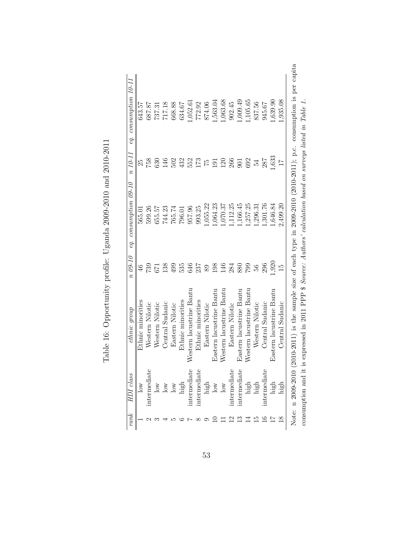<span id="page-53-0"></span>

| $eq.$ consumption $10-11$ | 643.57            | 687.87          | 737.31          | 717.18          | 668.88                 | 634.67            | .052.6                   | 772.92            | 874.06          | .563.04                  | .063.68                  | 902.45          | 009.49                   | .105.65                  | 837.56          | 945.67          | 0.639.90                 | 0.35.08         | 010-2011) is the sample size of each type in 2009-2010 (2010-2011); p.c. consumption is per capita |                                                                                          |
|---------------------------|-------------------|-----------------|-----------------|-----------------|------------------------|-------------------|--------------------------|-------------------|-----------------|--------------------------|--------------------------|-----------------|--------------------------|--------------------------|-----------------|-----------------|--------------------------|-----------------|----------------------------------------------------------------------------------------------------|------------------------------------------------------------------------------------------|
| $n 10-11$                 | 25                | 758             | 630             | 146             | 502                    | 432               | 552                      | 173               | 52              | $\overline{9}$           | $\Xi$                    | 266             | 601                      | 692                      | 24              | 287             | 1,633                    | $\overline{11}$ |                                                                                                    |                                                                                          |
| $eq.$ consumption $09-10$ | 565.01            | 599.26          | 655.57          | 744.23          | 765.74                 | 796.01            | 957.96                   | 993.25            | ,055.22         | ,064.23                  | ,070.37                  | .112.25         | .166.45                  | ,257.25                  | .296.31         | .301.76         | $-646.84$                | 2,499.20        |                                                                                                    |                                                                                          |
| n 09-10                   | $\frac{4}{6}$     | 739             |                 | 138             | 499                    | 535               | 646                      | 237               | 89              | 198                      | 146                      | 284             | 880                      | <b>CGZ</b>               |                 | 296             | 1,920                    |                 |                                                                                                    |                                                                                          |
| ethnic group              | Ethnic minorities | Western Nilotic | Western Nilotic | Central Sudanic | Eastern Nilotic        | Ethnic minorities | Western lacustrine Bantu | Ethnic minorities | Eastern Nilotic | Eastern lacustrine Bantu | Western lacustrine Bantu | Eastern Nilotic | Eastern lacustrine Bantu | Western lacustrine Bantu | Western Nilotic | Central Sudanic | Eastern lacustrine Bantu | Central Sudanic |                                                                                                    | expressed in 2011 PPP \$ Source: Authors' calculation based on surveys listed in Table 1 |
| HDI class                 | 10W               | intermediate    | 10W             |                 | $_{\rm low}^{\rm low}$ | high              | intermediate             | intermediate      | high            | $_{\rm low}$             | $\log$                   | ntermediate     | intermediate             | high                     | high            | intermediate    | high                     | high            | Note: n 2009-2010 (2                                                                               | consumption and it is                                                                    |
| rank                      |                   |                 |                 |                 |                        |                   |                          |                   |                 |                          |                          | $\overline{2}$  | $\frac{3}{1}$            | ᅼ                        |                 |                 |                          | $\frac{8}{18}$  |                                                                                                    |                                                                                          |

| I<br>ſ<br>J<br>C<br>C<br>ı<br>ļ<br>$\frac{1}{2}$<br>Ì<br>$\frac{1}{2}$<br>į<br>í<br>Ò                                                    |
|------------------------------------------------------------------------------------------------------------------------------------------|
| CrCC CCC<br>)<br>I<br>ì<br>ı<br>J<br>l<br>一つ こうしょう<br>ţ<br>$\frac{1}{2}$<br>ś<br>Ö<br>Î<br>۲.                                            |
| $\frac{1}{2}$<br>contracted in the contraction.<br>ā<br>Í<br>ľ                                                                           |
| Í<br>ļ<br>(                                                                                                                              |
| I<br>- 1<br>֧֧֧֧֧֧֧֧֧֧֧֧֧֧֧֧֧֧֧֧֧֧֧֧֧֡֬֓֓֓֓֓֓֓֓֓֓֓֓֓֓֓֓֬֓֓֓֓֓֬֓֓֬֓֓֬֓֓֓֓֩֓֓֬֓֓֩֓֓֬֓֓֓֩֓֓֬֬֩֓֓֬֩֓֓֬֩֓֓֓֬֩֓֬֩֓֓֩<br>֧֧֧֧֧֜֩֩֩֩֩֕<br>I<br>f |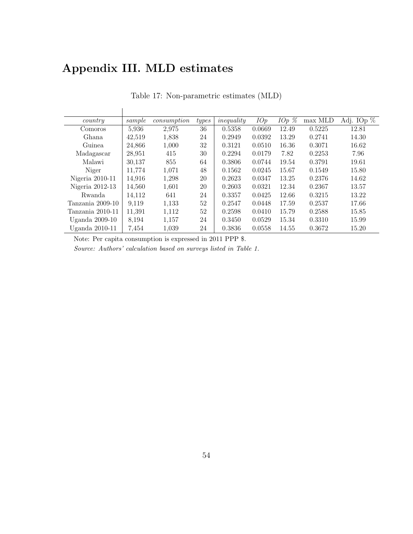# Appendix III. MLD estimates

| country          | sample | consumption | types | inequality | IOp    | $IOp\ \%$ | max MLD | Adj. IOp $\%$ |
|------------------|--------|-------------|-------|------------|--------|-----------|---------|---------------|
| Comoros          | 5,936  | 2,975       | 36    | 0.5358     | 0.0669 | 12.49     | 0.5225  | 12.81         |
| Ghana            | 42,519 | 1,838       | 24    | 0.2949     | 0.0392 | 13.29     | 0.2741  | 14.30         |
| Guinea           | 24,866 | 1,000       | 32    | 0.3121     | 0.0510 | 16.36     | 0.3071  | 16.62         |
| Madagascar       | 28,951 | 415         | 30    | 0.2294     | 0.0179 | 7.82      | 0.2253  | 7.96          |
| Malawi           | 30,137 | 855         | 64    | 0.3806     | 0.0744 | 19.54     | 0.3791  | 19.61         |
| Niger            | 11.774 | 1,071       | 48    | 0.1562     | 0.0245 | 15.67     | 0.1549  | 15.80         |
| Nigeria 2010-11  | 14,916 | 1,298       | 20    | 0.2623     | 0.0347 | 13.25     | 0.2376  | 14.62         |
| Nigeria 2012-13  | 14,560 | 1,601       | 20    | 0.2603     | 0.0321 | 12.34     | 0.2367  | 13.57         |
| Rwanda           | 14,112 | 641         | 24    | 0.3357     | 0.0425 | 12.66     | 0.3215  | 13.22         |
| Tanzania 2009-10 | 9,119  | 1,133       | 52    | 0.2547     | 0.0448 | 17.59     | 0.2537  | 17.66         |
| Tanzania 2010-11 | 11,391 | 1,112       | 52    | 0.2598     | 0.0410 | 15.79     | 0.2588  | 15.85         |
| Uganda $2009-10$ | 8,194  | 1,157       | 24    | 0.3450     | 0.0529 | 15.34     | 0.3310  | 15.99         |
| Uganda 2010-11   | 7,454  | 1,039       | 24    | 0.3836     | 0.0558 | 14.55     | 0.3672  | 15.20         |

Table 17: Non-parametric estimates (MLD)

Note: Per capita consumption is expressed in 2011 PPP \$.

*Source: Authors' calculation based on surveys listed in Table 1.*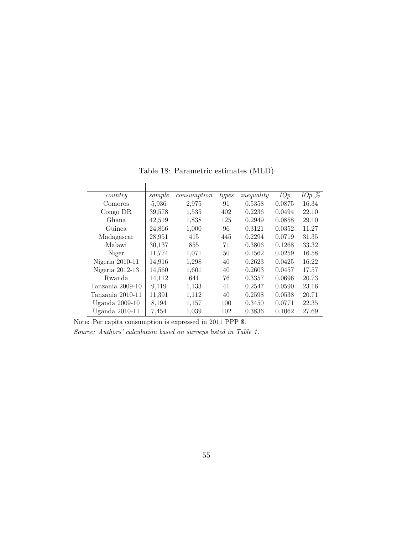| country          | sample | consumption | types | inequality | IOp    | $IOp\ \%$ |
|------------------|--------|-------------|-------|------------|--------|-----------|
| Comoros          | 5.936  | 2,975       | 91    | 0.5358     | 0.0875 | 16.34     |
| Congo DR         | 39,578 | 1,535       | 402   | 0.2236     | 0.0494 | 22.10     |
| Ghana            | 42,519 | 1,838       | 125   | 0.2949     | 0.0858 | 29.10     |
| Guinea           | 24,866 | 1,000       | 96    | 0.3121     | 0.0352 | 11.27     |
| Madagascar       | 28,951 | 415         | 445   | 0.2294     | 0.0719 | 31.35     |
| Malawi           | 30,137 | 855         | 71    | 0.3806     | 0.1268 | 33.32     |
| Niger            | 11,774 | 1,071       | 50    | 0.1562     | 0.0259 | 16.58     |
| Nigeria 2010-11  | 14,916 | 1,298       | 40    | 0.2623     | 0.0425 | 16.22     |
| Nigeria 2012-13  | 14,560 | 1,601       | 40    | 0.2603     | 0.0457 | 17.57     |
| Rwanda           | 14,112 | 641         | 76    | 0.3357     | 0.0696 | 20.73     |
| Tanzania 2009-10 | 9,119  | 1,133       | 41    | 0.2547     | 0.0590 | 23.16     |
| Tanzania 2010-11 | 11,391 | 1,112       | 40    | 0.2598     | 0.0538 | 20.71     |
| Uganda 2009-10   | 8,194  | 1,157       | 100   | 0.3450     | 0.0771 | 22.35     |
| Uganda 2010-11   | 7,454  | 1,039       | 102   | 0.3836     | 0.1062 | 27.69     |

Table 18: Parametric estimates (MLD)

Note: Per capita consumption is expressed in 2011 PPP \$.

*Source: Authors' calculation based on surveys listed in Table 1.*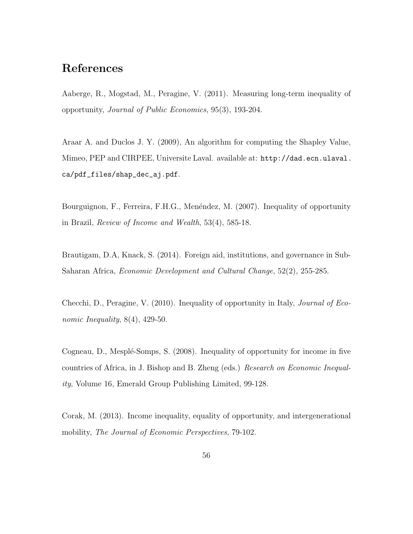## References

Aaberge, R., Mogstad, M., Peragine, V. (2011). Measuring long-term inequality of opportunity, *Journal of Public Economics*, 95(3), 193-204.

Araar A. and Duclos J. Y. (2009), An algorithm for computing the Shapley Value, Mimeo, PEP and CIRPEE, Universite Laval. available at: [http://dad.ecn.ulaval.](http://dad.ecn.ulaval.ca/pdf_files/shap_dec_aj.pdf) [ca/pdf\\_files/shap\\_dec\\_aj.pdf](http://dad.ecn.ulaval.ca/pdf_files/shap_dec_aj.pdf).

Bourguignon, F., Ferreira, F.H.G., Menéndez, M. (2007). Inequality of opportunity in Brazil, *Review of Income and Wealth*, 53(4), 585-18.

Brautigam, D.A, Knack, S. (2014). Foreign aid, institutions, and governance in Sub-Saharan Africa, *Economic Development and Cultural Change*, 52(2), 255-285.

Checchi, D., Peragine, V. (2010). Inequality of opportunity in Italy, *Journal of Economic Inequality*, 8(4), 429-50.

Cogneau, D., Mesplé-Somps, S. (2008). Inequality of opportunity for income in five countries of Africa, in J. Bishop and B. Zheng (eds.) *Research on Economic Inequality*, Volume 16, Emerald Group Publishing Limited, 99-128.

Corak, M. (2013). Income inequality, equality of opportunity, and intergenerational mobility, *The Journal of Economic Perspectives*, 79-102.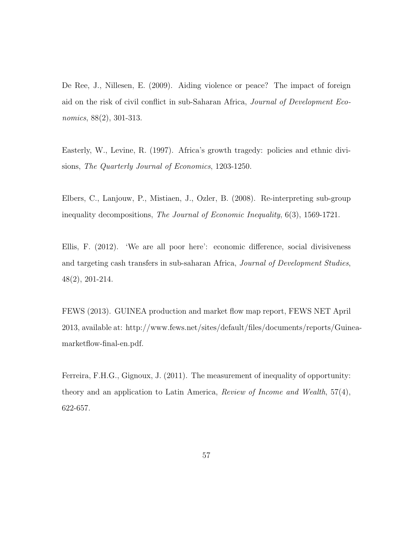De Ree, J., Nillesen, E. (2009). Aiding violence or peace? The impact of foreign aid on the risk of civil conflict in sub-Saharan Africa, *Journal of Development Economics*, 88(2), 301-313.

Easterly, W., Levine, R. (1997). Africa's growth tragedy: policies and ethnic divisions, *The Quarterly Journal of Economics*, 1203-1250.

Elbers, C., Lanjouw, P., Mistiaen, J., Ozler, B. (2008). Re-interpreting sub-group inequality decompositions, *The Journal of Economic Inequality*, 6(3), 1569-1721.

Ellis, F.  $(2012)$ . 'We are all poor here': economic difference, social divisiveness and targeting cash transfers in sub-saharan Africa, *Journal of Development Studies*, 48(2), 201-214.

FEWS (2013). GUINEA production and market flow map report, FEWS NET April 2013, available at: http://www.fews.net/sites/default/files/documents/reports/Guineamarketflow-final-en.pdf.

Ferreira, F.H.G., Gignoux, J. (2011). The measurement of inequality of opportunity: theory and an application to Latin America, *Review of Income and Wealth*, 57(4), 622-657.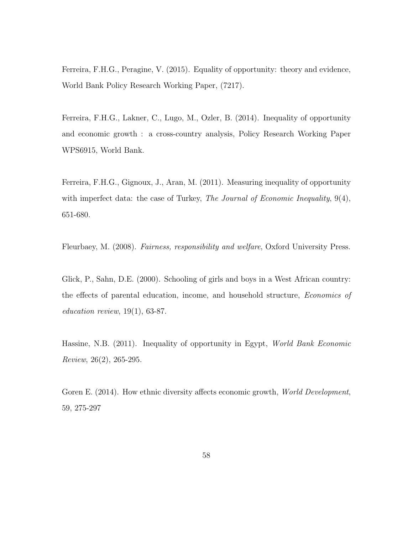Ferreira, F.H.G., Peragine, V. (2015). Equality of opportunity: theory and evidence, World Bank Policy Research Working Paper, (7217).

Ferreira, F.H.G., Lakner, C., Lugo, M., Ozler, B. (2014). Inequality of opportunity and economic growth : a cross-country analysis, Policy Research Working Paper WPS6915, World Bank.

Ferreira, F.H.G., Gignoux, J., Aran, M. (2011). Measuring inequality of opportunity with imperfect data: the case of Turkey, *The Journal of Economic Inequality*, 9(4), 651-680.

Fleurbaey, M. (2008). *Fairness, responsibility and welfare*, Oxford University Press.

Glick, P., Sahn, D.E. (2000). Schooling of girls and boys in a West African country: the effects of parental education, income, and household structure, *Economics of education review*, 19(1), 63-87.

Hassine, N.B. (2011). Inequality of opportunity in Egypt, *World Bank Economic Review*, 26(2), 265-295.

Goren E. (2014). How ethnic diversity affects economic growth, *World Development*, 59, 275-297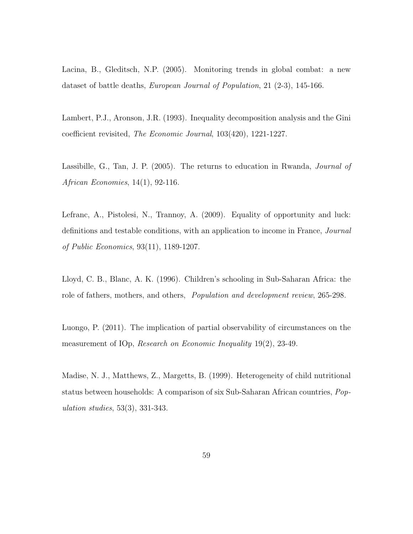Lacina, B., Gleditsch, N.P. (2005). Monitoring trends in global combat: a new dataset of battle deaths, *European Journal of Population*, 21 (2-3), 145-166.

Lambert, P.J., Aronson, J.R. (1993). Inequality decomposition analysis and the Gini coefficient revisited, *The Economic Journal*, 103(420), 1221-1227.

Lassibille, G., Tan, J. P. (2005). The returns to education in Rwanda, *Journal of African Economies*, 14(1), 92-116.

Lefranc, A., Pistolesi, N., Trannoy, A. (2009). Equality of opportunity and luck: definitions and testable conditions, with an application to income in France, *Journal of Public Economics*, 93(11), 1189-1207.

Lloyd, C. B., Blanc, A. K. (1996). Children's schooling in Sub-Saharan Africa: the role of fathers, mothers, and others, *Population and development review*, 265-298.

Luongo, P. (2011). The implication of partial observability of circumstances on the measurement of IOp, *Research on Economic Inequality* 19(2), 23-49.

Madise, N. J., Matthews, Z., Margetts, B. (1999). Heterogeneity of child nutritional status between households: A comparison of six Sub-Saharan African countries, *Population studies*, 53(3), 331-343.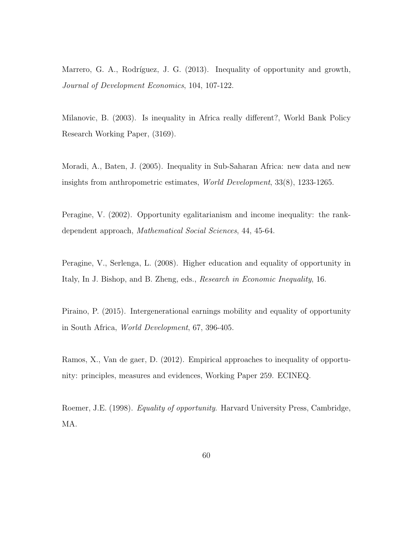Marrero, G. A., Rodríguez, J. G. (2013). Inequality of opportunity and growth, *Journal of Development Economics*, 104, 107-122.

Milanovic, B. (2003). Is inequality in Africa really different?, World Bank Policy Research Working Paper, (3169).

Moradi, A., Baten, J. (2005). Inequality in Sub-Saharan Africa: new data and new insights from anthropometric estimates, *World Development*, 33(8), 1233-1265.

Peragine, V. (2002). Opportunity egalitarianism and income inequality: the rankdependent approach, *Mathematical Social Sciences*, 44, 45-64.

Peragine, V., Serlenga, L. (2008). Higher education and equality of opportunity in Italy, In J. Bishop, and B. Zheng, eds., *Research in Economic Inequality*, 16.

Piraino, P. (2015). Intergenerational earnings mobility and equality of opportunity in South Africa, *World Development*, 67, 396-405.

Ramos, X., Van de gaer, D. (2012). Empirical approaches to inequality of opportunity: principles, measures and evidences, Working Paper 259. ECINEQ.

Roemer, J.E. (1998). *Equality of opportunity*. Harvard University Press, Cambridge, MA.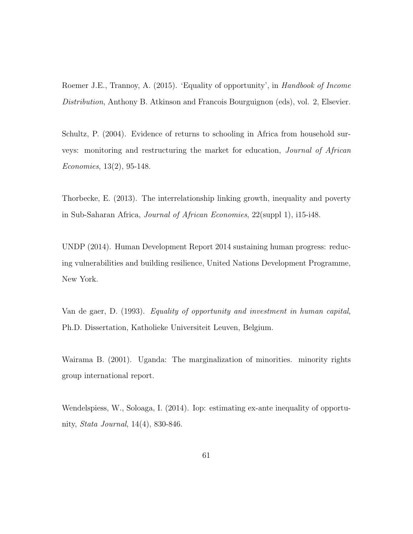Roemer J.E., Trannoy, A. (2015). 'Equality of opportunity', in *Handbook of Income Distribution*, Anthony B. Atkinson and Francois Bourguignon (eds), vol. 2, Elsevier.

Schultz, P. (2004). Evidence of returns to schooling in Africa from household surveys: monitoring and restructuring the market for education, *Journal of African Economies*, 13(2), 95-148.

Thorbecke, E. (2013). The interrelationship linking growth, inequality and poverty in Sub-Saharan Africa, *Journal of African Economies*, 22(suppl 1), i15-i48.

UNDP (2014). Human Development Report 2014 sustaining human progress: reducing vulnerabilities and building resilience, United Nations Development Programme, New York.

Van de gaer, D. (1993). *Equality of opportunity and investment in human capital*, Ph.D. Dissertation, Katholieke Universiteit Leuven, Belgium.

Wairama B. (2001). Uganda: The marginalization of minorities. minority rights group international report.

Wendelspiess, W., Soloaga, I. (2014). Iop: estimating ex-ante inequality of opportunity, *Stata Journal*, 14(4), 830-846.